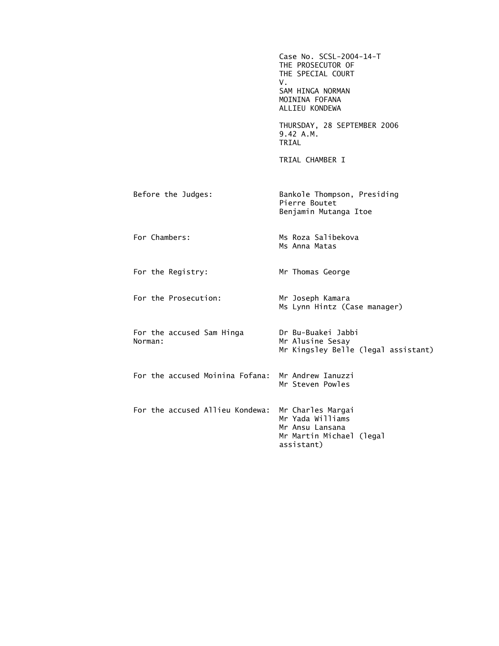|                                      | Case No. SCSL-2004-14-T<br>THE PROSECUTOR OF<br>THE SPECIAL COURT<br>V.<br>SAM HINGA NORMAN<br>MOININA FOFANA<br>ALLIEU KONDEWA |
|--------------------------------------|---------------------------------------------------------------------------------------------------------------------------------|
|                                      | THURSDAY, 28 SEPTEMBER 2006<br>9.42 A.M.<br>TRIAL                                                                               |
|                                      | TRIAL CHAMBER I                                                                                                                 |
| Before the Judges:                   | Bankole Thompson, Presiding<br>Pierre Boutet<br>Benjamin Mutanga Itoe                                                           |
| For Chambers:                        | Ms Roza Salibekova<br>Ms Anna Matas                                                                                             |
| For the Registry:                    | Mr Thomas George                                                                                                                |
| For the Prosecution:                 | Mr Joseph Kamara<br>Ms Lynn Hintz (Case manager)                                                                                |
| For the accused Sam Hinga<br>Norman: | Dr Bu-Buakei Jabbi<br>Mr Alusine Sesay<br>Mr Kingsley Belle (legal assistant)                                                   |
| For the accused Moinina Fofana:      | Mr Andrew Ianuzzi<br>Mr Steven Powles                                                                                           |
| For the accused Allieu Kondewa:      | Mr Charles Margai<br>Mr Yada Williams<br>Mr Ansu Lansana<br>Mr Martin Michael (legal<br>assistant)                              |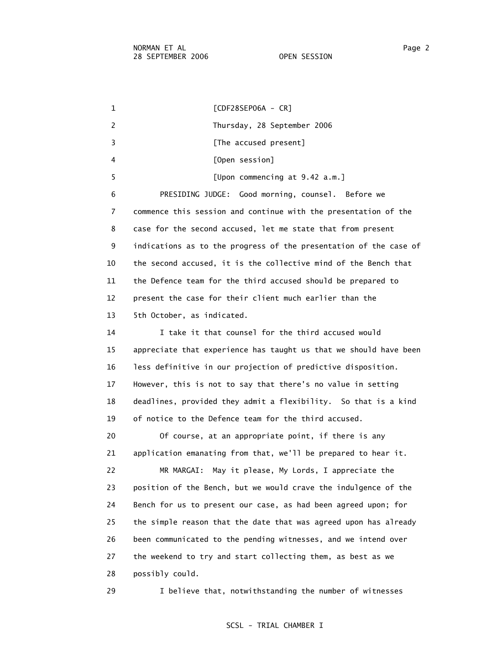1 [CDF28SEP06A - CR] 2 Thursday, 28 September 2006 3 **Example 2 [The accused present]**  4 [Open session] 5 [Upon commencing at 9.42 a.m.] 6 PRESIDING JUDGE: Good morning, counsel. Before we 7 commence this session and continue with the presentation of the 8 case for the second accused, let me state that from present 9 indications as to the progress of the presentation of the case of 10 the second accused, it is the collective mind of the Bench that 11 the Defence team for the third accused should be prepared to 12 present the case for their client much earlier than the 13 5th October, as indicated. 14 I take it that counsel for the third accused would 15 appreciate that experience has taught us that we should have been 16 less definitive in our projection of predictive disposition. 17 However, this is not to say that there's no value in setting 18 deadlines, provided they admit a flexibility. So that is a kind 19 of notice to the Defence team for the third accused. 20 Of course, at an appropriate point, if there is any 21 application emanating from that, we'll be prepared to hear it. 22 MR MARGAI: May it please, My Lords, I appreciate the 23 position of the Bench, but we would crave the indulgence of the 24 Bench for us to present our case, as had been agreed upon; for 25 the simple reason that the date that was agreed upon has already 26 been communicated to the pending witnesses, and we intend over

 27 the weekend to try and start collecting them, as best as we 28 possibly could.

29 I believe that, notwithstanding the number of witnesses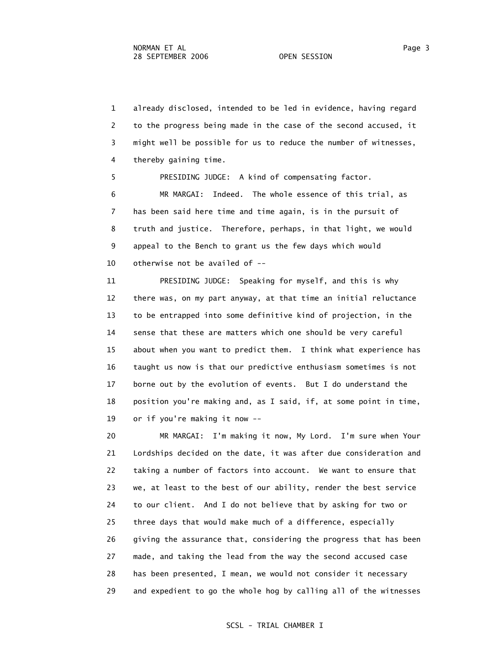1 already disclosed, intended to be led in evidence, having regard 2 to the progress being made in the case of the second accused, it 3 might well be possible for us to reduce the number of witnesses, 4 thereby gaining time.

 5 PRESIDING JUDGE: A kind of compensating factor. 6 MR MARGAI: Indeed. The whole essence of this trial, as 7 has been said here time and time again, is in the pursuit of 8 truth and justice. Therefore, perhaps, in that light, we would 9 appeal to the Bench to grant us the few days which would 10 otherwise not be availed of --

 11 PRESIDING JUDGE: Speaking for myself, and this is why 12 there was, on my part anyway, at that time an initial reluctance 13 to be entrapped into some definitive kind of projection, in the 14 sense that these are matters which one should be very careful 15 about when you want to predict them. I think what experience has 16 taught us now is that our predictive enthusiasm sometimes is not 17 borne out by the evolution of events. But I do understand the 18 position you're making and, as I said, if, at some point in time, 19 or if you're making it now --

 20 MR MARGAI: I'm making it now, My Lord. I'm sure when Your 21 Lordships decided on the date, it was after due consideration and 22 taking a number of factors into account. We want to ensure that 23 we, at least to the best of our ability, render the best service 24 to our client. And I do not believe that by asking for two or 25 three days that would make much of a difference, especially 26 giving the assurance that, considering the progress that has been 27 made, and taking the lead from the way the second accused case 28 has been presented, I mean, we would not consider it necessary 29 and expedient to go the whole hog by calling all of the witnesses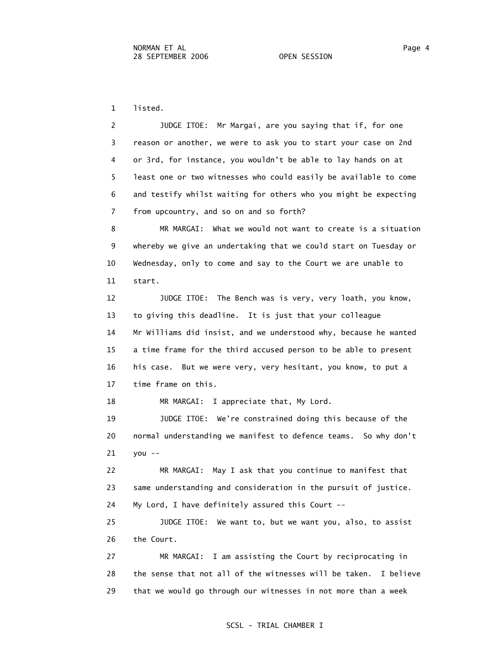1 listed.

 2 JUDGE ITOE: Mr Margai, are you saying that if, for one 3 reason or another, we were to ask you to start your case on 2nd 4 or 3rd, for instance, you wouldn't be able to lay hands on at 5 least one or two witnesses who could easily be available to come 6 and testify whilst waiting for others who you might be expecting 7 from upcountry, and so on and so forth?

 8 MR MARGAI: What we would not want to create is a situation 9 whereby we give an undertaking that we could start on Tuesday or 10 Wednesday, only to come and say to the Court we are unable to 11 start.

 12 JUDGE ITOE: The Bench was is very, very loath, you know, 13 to giving this deadline. It is just that your colleague 14 Mr Williams did insist, and we understood why, because he wanted 15 a time frame for the third accused person to be able to present 16 his case. But we were very, very hesitant, you know, to put a 17 time frame on this.

18 MR MARGAI: I appreciate that, My Lord.

 19 JUDGE ITOE: We're constrained doing this because of the 20 normal understanding we manifest to defence teams. So why don't 21 you --

 22 MR MARGAI: May I ask that you continue to manifest that 23 same understanding and consideration in the pursuit of justice. 24 My Lord, I have definitely assured this Court --

 25 JUDGE ITOE: We want to, but we want you, also, to assist 26 the Court.

 27 MR MARGAI: I am assisting the Court by reciprocating in 28 the sense that not all of the witnesses will be taken. I believe 29 that we would go through our witnesses in not more than a week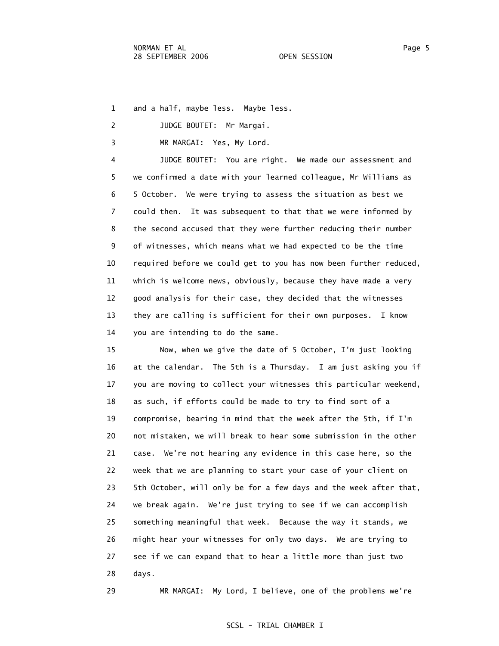1 and a half, maybe less. Maybe less.

- 2 JUDGE BOUTET: Mr Margai.
- 3 MR MARGAI: Yes, My Lord.

 4 JUDGE BOUTET: You are right. We made our assessment and 5 we confirmed a date with your learned colleague, Mr Williams as 6 5 October. We were trying to assess the situation as best we 7 could then. It was subsequent to that that we were informed by 8 the second accused that they were further reducing their number 9 of witnesses, which means what we had expected to be the time 10 required before we could get to you has now been further reduced, 11 which is welcome news, obviously, because they have made a very 12 good analysis for their case, they decided that the witnesses 13 they are calling is sufficient for their own purposes. I know 14 you are intending to do the same.

 15 Now, when we give the date of 5 October, I'm just looking 16 at the calendar. The 5th is a Thursday. I am just asking you if 17 you are moving to collect your witnesses this particular weekend, 18 as such, if efforts could be made to try to find sort of a 19 compromise, bearing in mind that the week after the 5th, if I'm 20 not mistaken, we will break to hear some submission in the other 21 case. We're not hearing any evidence in this case here, so the 22 week that we are planning to start your case of your client on 23 5th October, will only be for a few days and the week after that, 24 we break again. We're just trying to see if we can accomplish 25 something meaningful that week. Because the way it stands, we 26 might hear your witnesses for only two days. We are trying to 27 see if we can expand that to hear a little more than just two 28 days.

29 MR MARGAI: My Lord, I believe, one of the problems we're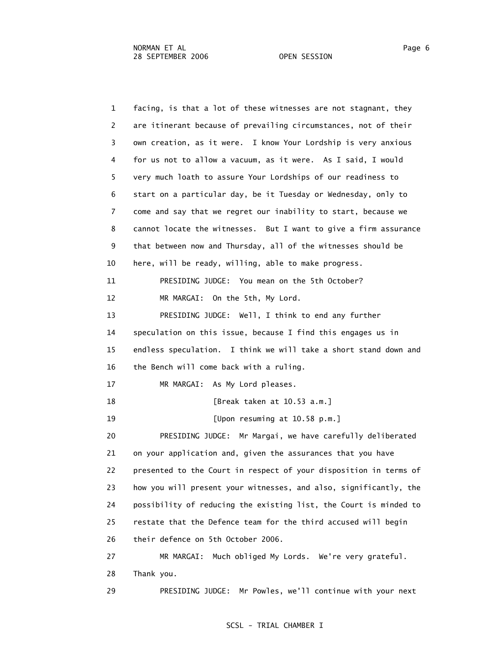1 facing, is that a lot of these witnesses are not stagnant, they 2 are itinerant because of prevailing circumstances, not of their 3 own creation, as it were. I know Your Lordship is very anxious 4 for us not to allow a vacuum, as it were. As I said, I would 5 very much loath to assure Your Lordships of our readiness to 6 start on a particular day, be it Tuesday or Wednesday, only to 7 come and say that we regret our inability to start, because we 8 cannot locate the witnesses. But I want to give a firm assurance 9 that between now and Thursday, all of the witnesses should be 10 here, will be ready, willing, able to make progress. 11 PRESIDING JUDGE: You mean on the 5th October? 12 MR MARGAI: On the 5th, My Lord. 13 PRESIDING JUDGE: Well, I think to end any further 14 speculation on this issue, because I find this engages us in 15 endless speculation. I think we will take a short stand down and 16 the Bench will come back with a ruling. 17 MR MARGAI: As My Lord pleases. 18 [Break taken at 10.53 a.m.] 19 [Upon resuming at 10.58 p.m.] 20 PRESIDING JUDGE: Mr Margai, we have carefully deliberated 21 on your application and, given the assurances that you have 22 presented to the Court in respect of your disposition in terms of 23 how you will present your witnesses, and also, significantly, the 24 possibility of reducing the existing list, the Court is minded to 25 restate that the Defence team for the third accused will begin 26 their defence on 5th October 2006. 27 MR MARGAI: Much obliged My Lords. We're very grateful. 28 Thank you. 29 PRESIDING JUDGE: Mr Powles, we'll continue with your next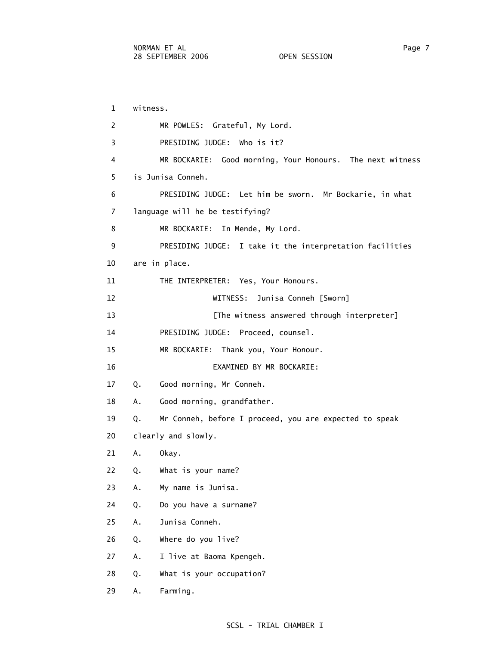1 witness. 2 MR POWLES: Grateful, My Lord. 3 PRESIDING JUDGE: Who is it? 4 MR BOCKARIE: Good morning, Your Honours. The next witness 5 is Junisa Conneh. 6 PRESIDING JUDGE: Let him be sworn. Mr Bockarie, in what 7 language will he be testifying? 8 MR BOCKARIE: In Mende, My Lord. 9 PRESIDING JUDGE: I take it the interpretation facilities 10 are in place. 11 THE INTERPRETER: Yes, Your Honours. 12 WITNESS: Junisa Conneh [Sworn] 13 **Example 13** [The witness answered through interpreter] 14 PRESIDING JUDGE: Proceed, counsel. 15 MR BOCKARIE: Thank you, Your Honour. 16 EXAMINED BY MR BOCKARIE: 17 Q. Good morning, Mr Conneh. 18 A. Good morning, grandfather. 19 Q. Mr Conneh, before I proceed, you are expected to speak 20 clearly and slowly. 21 A. Okay. 22 Q. What is your name? 23 A. My name is Junisa. 24 Q. Do you have a surname? 25 A. Junisa Conneh. 26 Q. Where do you live? 27 A. I live at Baoma Kpengeh. 28 Q. What is your occupation? 29 A. Farming.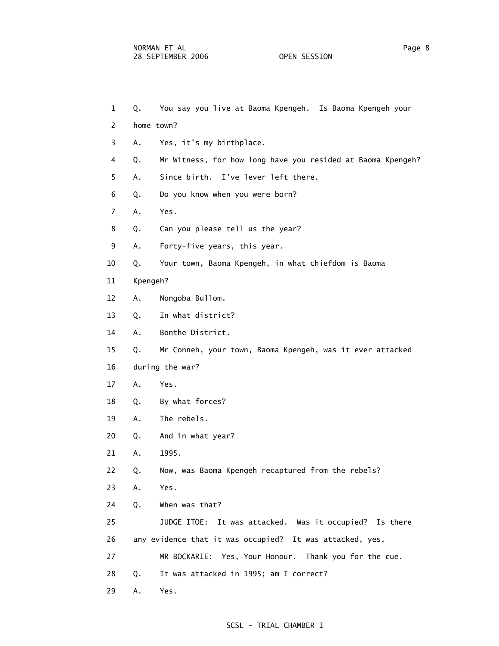- 1 Q. You say you live at Baoma Kpengeh. Is Baoma Kpengeh your
- 2 home town?
- 3 A. Yes, it's my birthplace.
- 4 Q. Mr Witness, for how long have you resided at Baoma Kpengeh?
- 5 A. Since birth. I've lever left there.
- 6 Q. Do you know when you were born?
- 7 A. Yes.
- 8 Q. Can you please tell us the year?
- 9 A. Forty-five years, this year.
- 10 Q. Your town, Baoma Kpengeh, in what chiefdom is Baoma
- 11 Kpengeh?
- 12 A. Nongoba Bullom.
- 13 Q. In what district?
- 14 A. Bonthe District.
- 15 Q. Mr Conneh, your town, Baoma Kpengeh, was it ever attacked
- 16 during the war?
- 17 A. Yes.
- 18 Q. By what forces?
- 19 A. The rebels.
- 20 Q. And in what year?
- 21 A. 1995.
- 22 Q. Now, was Baoma Kpengeh recaptured from the rebels?
- 23 A. Yes.
- 24 Q. When was that?
- 25 JUDGE ITOE: It was attacked. Was it occupied? Is there
- 26 any evidence that it was occupied? It was attacked, yes.
- 27 MR BOCKARIE: Yes, Your Honour. Thank you for the cue.
- 28 Q. It was attacked in 1995; am I correct?
- 29 A. Yes.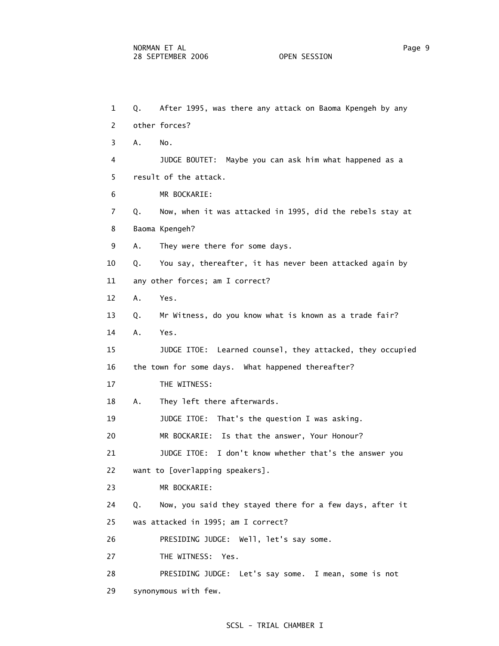1 Q. After 1995, was there any attack on Baoma Kpengeh by any 2 other forces? 3 A. No. 4 JUDGE BOUTET: Maybe you can ask him what happened as a 5 result of the attack. 6 MR BOCKARIE: 7 Q. Now, when it was attacked in 1995, did the rebels stay at 8 Baoma Kpengeh? 9 A. They were there for some days. 10 Q. You say, thereafter, it has never been attacked again by 11 any other forces; am I correct? 12 A. Yes. 13 Q. Mr Witness, do you know what is known as a trade fair? 14 A. Yes. 15 JUDGE ITOE: Learned counsel, they attacked, they occupied 16 the town for some days. What happened thereafter? 17 THE WITNESS: 18 A. They left there afterwards. 19 JUDGE ITOE: That's the question I was asking. 20 MR BOCKARIE: Is that the answer, Your Honour? 21 JUDGE ITOE: I don't know whether that's the answer you 22 want to [overlapping speakers]. 23 MR BOCKARIE: 24 Q. Now, you said they stayed there for a few days, after it 25 was attacked in 1995; am I correct? 26 PRESIDING JUDGE: Well, let's say some. 27 THE WITNESS: Yes. 28 PRESIDING JUDGE: Let's say some. I mean, some is not 29 synonymous with few.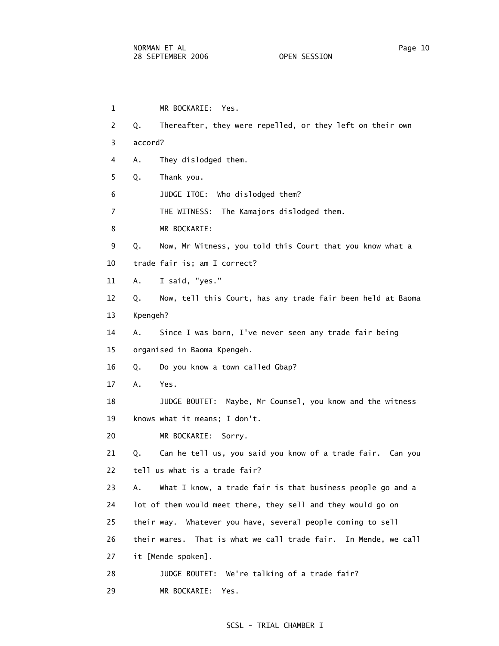| $\mathbf{1}$   | MR BOCKARIE: Yes.                                                 |
|----------------|-------------------------------------------------------------------|
| $\overline{2}$ | Thereafter, they were repelled, or they left on their own<br>Q.   |
| 3              | accord?                                                           |
| 4              | They dislodged them.<br>Α.                                        |
| 5              | Thank you.<br>Q.                                                  |
| 6              | JUDGE ITOE: Who dislodged them?                                   |
| $\overline{7}$ | THE WITNESS:<br>The Kamajors dislodged them.                      |
| 8              | MR BOCKARIE:                                                      |
| 9              | Now, Mr Witness, you told this Court that you know what a<br>Q.   |
| 10             | trade fair is; am I correct?                                      |
| 11             | I said, "yes."<br>Α.                                              |
| 12             | Now, tell this Court, has any trade fair been held at Baoma<br>Q. |
| 13             | Kpengeh?                                                          |
| 14             | Since I was born, I've never seen any trade fair being<br>Α.      |
| 15             | organised in Baoma Kpengeh.                                       |
| 16             | Do you know a town called Gbap?<br>Q.                             |
| 17             | Yes.<br>Α.                                                        |
| 18             | JUDGE BOUTET:<br>Maybe, Mr Counsel, you know and the witness      |
| 19             | knows what it means; I don't.                                     |
| 20             | MR BOCKARIE:<br>Sorry.                                            |
| 21             | Can he tell us, you said you know of a trade fair. Can you<br>Q.  |
| 22             | tell us what is a trade fair?                                     |
| 23             | What I know, a trade fair is that business people go and a<br>Α.  |
| 24             | lot of them would meet there, they sell and they would go on      |
| 25             | their way. Whatever you have, several people coming to sell       |
| 26             | their wares. That is what we call trade fair. In Mende, we call   |
| 27             | it [Mende spoken].                                                |
| 28             | JUDGE BOUTET:<br>We're talking of a trade fair?                   |
| 29             | MR BOCKARIE:<br>Yes.                                              |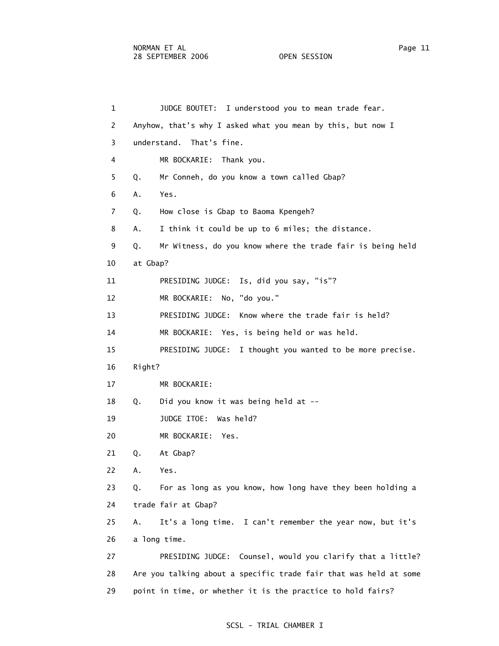3 understand. That's fine.

6 A. Yes.

10 at Gbap?

 1 JUDGE BOUTET: I understood you to mean trade fear. 2 Anyhow, that's why I asked what you mean by this, but now I 4 MR BOCKARIE: Thank you. 5 Q. Mr Conneh, do you know a town called Gbap? 7 Q. How close is Gbap to Baoma Kpengeh? 8 A. I think it could be up to 6 miles; the distance. 9 Q. Mr Witness, do you know where the trade fair is being held 11 PRESIDING JUDGE: Is, did you say, "is"? 12 MR BOCKARIE: No, "do you."

13 PRESIDING JUDGE: Know where the trade fair is held?

14 MR BOCKARIE: Yes, is being held or was held.

15 PRESIDING JUDGE: I thought you wanted to be more precise.

- 16 Right?
- 17 MR BOCKARIE:
- 18 Q. Did you know it was being held at --
- 19 JUDGE ITOE: Was held?
- 20 MR BOCKARIE: Yes.
- 21 Q. At Gbap?
- 22 A. Yes.

 23 Q. For as long as you know, how long have they been holding a 24 trade fair at Gbap?

 25 A. It's a long time. I can't remember the year now, but it's 26 a long time.

 27 PRESIDING JUDGE: Counsel, would you clarify that a little? 28 Are you talking about a specific trade fair that was held at some 29 point in time, or whether it is the practice to hold fairs?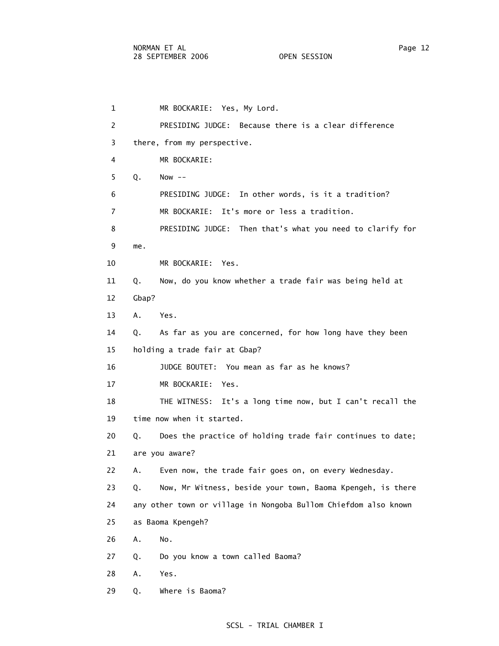1 MR BOCKARIE: Yes, My Lord. 2 PRESIDING JUDGE: Because there is a clear difference 3 there, from my perspective. 4 MR BOCKARIE: 5 Q. Now -- 6 PRESIDING JUDGE: In other words, is it a tradition? 7 MR BOCKARIE: It's more or less a tradition. 8 PRESIDING JUDGE: Then that's what you need to clarify for 9 me. 10 MR BOCKARIE: Yes. 11 Q. Now, do you know whether a trade fair was being held at 12 Gbap? 13 A. Yes. 14 Q. As far as you are concerned, for how long have they been 15 holding a trade fair at Gbap? 16 JUDGE BOUTET: You mean as far as he knows? 17 MR BOCKARIE: Yes. 18 THE WITNESS: It's a long time now, but I can't recall the 19 time now when it started. 20 Q. Does the practice of holding trade fair continues to date; 21 are you aware? 22 A. Even now, the trade fair goes on, on every Wednesday. 23 Q. Now, Mr Witness, beside your town, Baoma Kpengeh, is there 24 any other town or village in Nongoba Bullom Chiefdom also known 25 as Baoma Kpengeh? 26 A. No. 27 Q. Do you know a town called Baoma? 28 A. Yes. 29 Q. Where is Baoma?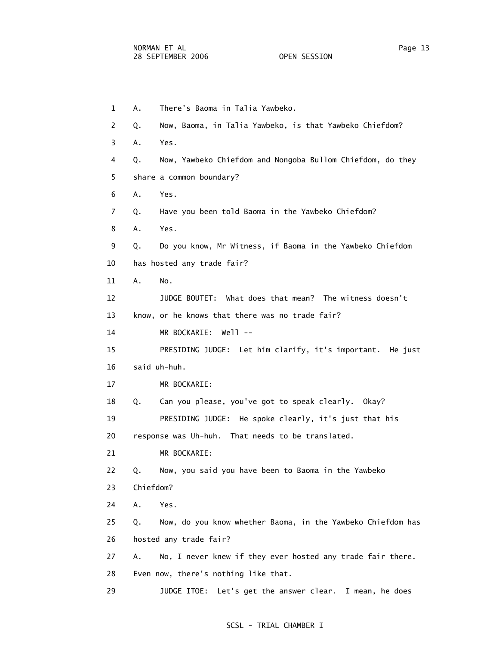| $\mathbf{1}$   | There's Baoma in Talia Yawbeko.<br>Α.                             |
|----------------|-------------------------------------------------------------------|
| $\overline{2}$ | Now, Baoma, in Talia Yawbeko, is that Yawbeko Chiefdom?<br>Q.     |
| 3              | Α.<br>Yes.                                                        |
| 4              | Now, Yawbeko Chiefdom and Nongoba Bullom Chiefdom, do they<br>Q.  |
| 5              | share a common boundary?                                          |
| 6              | Α.<br>Yes.                                                        |
| $\overline{7}$ | Have you been told Baoma in the Yawbeko Chiefdom?<br>Q.           |
| 8              | Yes.<br>Α.                                                        |
| 9              | Do you know, Mr Witness, if Baoma in the Yawbeko Chiefdom<br>Q.   |
| 10             | has hosted any trade fair?                                        |
| 11             | Α.<br>No.                                                         |
| 12             | JUDGE BOUTET: What does that mean? The witness doesn't            |
| 13             | know, or he knows that there was no trade fair?                   |
| 14             | MR BOCKARIE:<br>$We11 - -$                                        |
| 15             | PRESIDING JUDGE: Let him clarify, it's important. He just         |
| 16             | said uh-huh.                                                      |
| 17             | MR BOCKARIE:                                                      |
| 18             | Can you please, you've got to speak clearly. Okay?<br>Q.          |
| 19             | PRESIDING JUDGE: He spoke clearly, it's just that his             |
| 20             | response was Uh-huh. That needs to be translated.                 |
| 21             | MR BOCKARIE:                                                      |
| 22             | Now, you said you have been to Baoma in the Yawbeko<br>Q.         |
| 23             | Chiefdom?                                                         |
| 24             | Α.<br>Yes.                                                        |
| 25             | Now, do you know whether Baoma, in the Yawbeko Chiefdom has<br>Q. |
| 26             | hosted any trade fair?                                            |
| 27             | No, I never knew if they ever hosted any trade fair there.<br>Α.  |
| 28             | Even now, there's nothing like that.                              |
| 29             | JUDGE ITOE: Let's get the answer clear. I mean, he does           |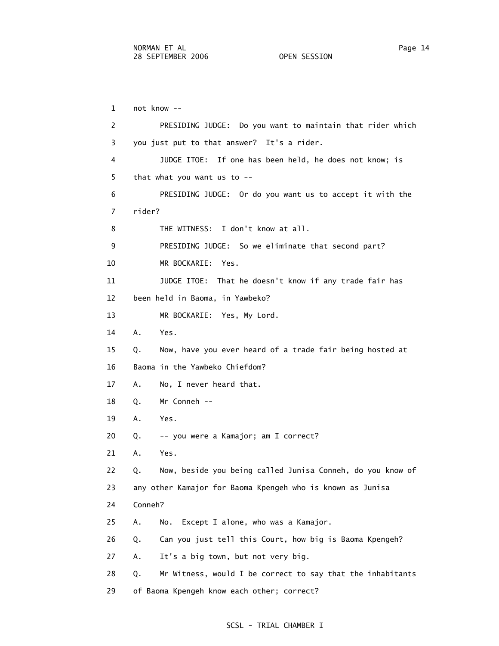1 not know -- 2 PRESIDING JUDGE: Do you want to maintain that rider which 3 you just put to that answer? It's a rider. 4 JUDGE ITOE: If one has been held, he does not know; is 5 that what you want us to -- 6 PRESIDING JUDGE: Or do you want us to accept it with the 7 rider? 8 THE WITNESS: I don't know at all. 9 PRESIDING JUDGE: So we eliminate that second part? 10 MR BOCKARIE: Yes. 11 JUDGE ITOE: That he doesn't know if any trade fair has 12 been held in Baoma, in Yawbeko? 13 MR BOCKARIE: Yes, My Lord. 14 A. Yes. 15 Q. Now, have you ever heard of a trade fair being hosted at 16 Baoma in the Yawbeko Chiefdom? 17 A. No, I never heard that. 18 Q. Mr Conneh -- 19 A. Yes. 20 Q. -- you were a Kamajor; am I correct? 21 A. Yes. 22 Q. Now, beside you being called Junisa Conneh, do you know of 23 any other Kamajor for Baoma Kpengeh who is known as Junisa 24 Conneh? 25 A. No. Except I alone, who was a Kamajor. 26 Q. Can you just tell this Court, how big is Baoma Kpengeh? 27 A. It's a big town, but not very big. 28 Q. Mr Witness, would I be correct to say that the inhabitants 29 of Baoma Kpengeh know each other; correct?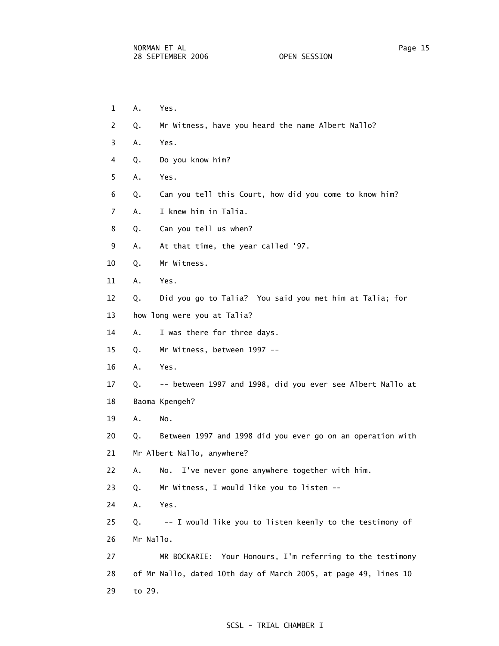- 1 A. Yes.
- 2 Q. Mr Witness, have you heard the name Albert Nallo?
- 3 A. Yes.
- 4 Q. Do you know him?
- 5 A. Yes.
- 6 Q. Can you tell this Court, how did you come to know him?
- 7 A. I knew him in Talia.
- 8 Q. Can you tell us when?
- 9 A. At that time, the year called '97.
- 10 Q. Mr Witness.
- 11 A. Yes.
- 12 Q. Did you go to Talia? You said you met him at Talia; for
- 13 how long were you at Talia?
- 14 A. I was there for three days.
- 15 Q. Mr Witness, between 1997 --
- 16 A. Yes.
- 17 Q. -- between 1997 and 1998, did you ever see Albert Nallo at
- 18 Baoma Kpengeh?
- 19 A. No.
- 20 Q. Between 1997 and 1998 did you ever go on an operation with
- 21 Mr Albert Nallo, anywhere?
- 22 A. No. I've never gone anywhere together with him.
- 23 Q. Mr Witness, I would like you to listen --
- 24 A. Yes.
- 25 Q. -- I would like you to listen keenly to the testimony of 26 Mr Nallo.
- 27 MR BOCKARIE: Your Honours, I'm referring to the testimony 28 of Mr Nallo, dated 10th day of March 2005, at page 49, lines 10 29 to 29.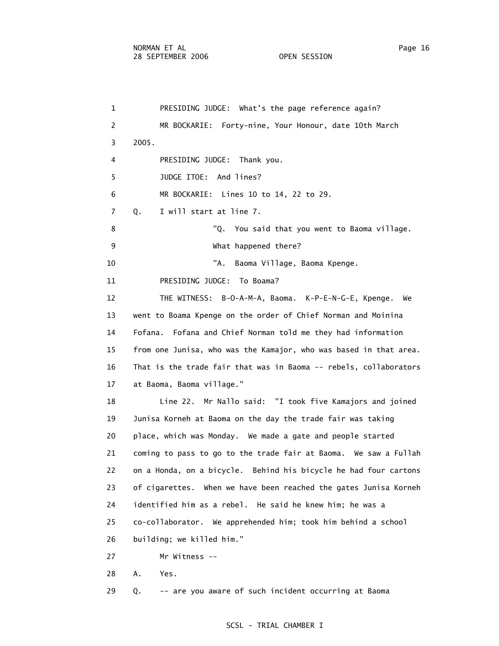1 PRESIDING JUDGE: What's the page reference again? 2 MR BOCKARIE: Forty-nine, Your Honour, date 10th March 3 2005. 4 PRESIDING JUDGE: Thank you. 5 JUDGE ITOE: And lines? 6 MR BOCKARIE: Lines 10 to 14, 22 to 29. 7 Q. I will start at line 7. 8 "Q. You said that you went to Baoma village. 9 What happened there? 10 TA. Baoma Village, Baoma Kpenge. 11 PRESIDING JUDGE: To Boama? 12 THE WITNESS: B-O-A-M-A, Baoma. K-P-E-N-G-E, Kpenge. We 13 went to Boama Kpenge on the order of Chief Norman and Moinina 14 Fofana. Fofana and Chief Norman told me they had information 15 from one Junisa, who was the Kamajor, who was based in that area. 16 That is the trade fair that was in Baoma -- rebels, collaborators 17 at Baoma, Baoma village." 18 Line 22. Mr Nallo said: "I took five Kamajors and joined 19 Junisa Korneh at Baoma on the day the trade fair was taking 20 place, which was Monday. We made a gate and people started 21 coming to pass to go to the trade fair at Baoma. We saw a Fullah 22 on a Honda, on a bicycle. Behind his bicycle he had four cartons 23 of cigarettes. When we have been reached the gates Junisa Korneh 24 identified him as a rebel. He said he knew him; he was a 25 co-collaborator. We apprehended him; took him behind a school 26 building; we killed him." 27 Mr Witness -- 28 A. Yes. 29 Q. -- are you aware of such incident occurring at Baoma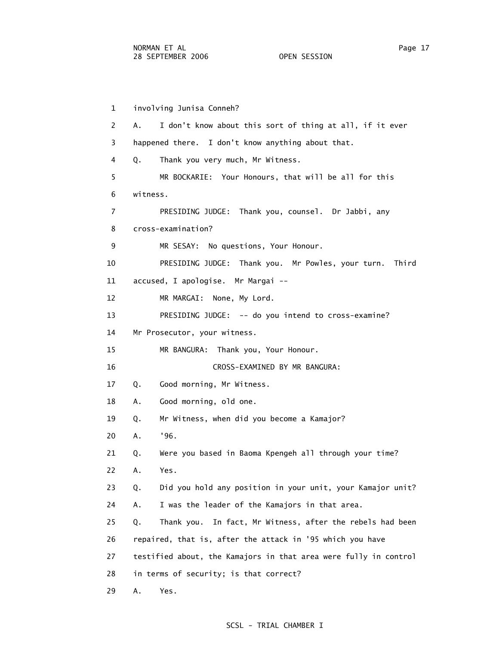1 involving Junisa Conneh?

 2 A. I don't know about this sort of thing at all, if it ever 3 happened there. I don't know anything about that. 4 Q. Thank you very much, Mr Witness. 5 MR BOCKARIE: Your Honours, that will be all for this 6 witness. 7 PRESIDING JUDGE: Thank you, counsel. Dr Jabbi, any 8 cross-examination? 9 MR SESAY: No questions, Your Honour. 10 PRESIDING JUDGE: Thank you. Mr Powles, your turn. Third 11 accused, I apologise. Mr Margai -- 12 MR MARGAI: None, My Lord. 13 PRESIDING JUDGE: -- do you intend to cross-examine? 14 Mr Prosecutor, your witness. 15 MR BANGURA: Thank you, Your Honour. 16 CROSS-EXAMINED BY MR BANGURA: 17 Q. Good morning, Mr Witness. 18 A. Good morning, old one. 19 Q. Mr Witness, when did you become a Kamajor? 20 A. '96. 21 Q. Were you based in Baoma Kpengeh all through your time? 22 A. Yes. 23 Q. Did you hold any position in your unit, your Kamajor unit? 24 A. I was the leader of the Kamajors in that area. 25 Q. Thank you. In fact, Mr Witness, after the rebels had been 26 repaired, that is, after the attack in '95 which you have 27 testified about, the Kamajors in that area were fully in control 28 in terms of security; is that correct? 29 A. Yes.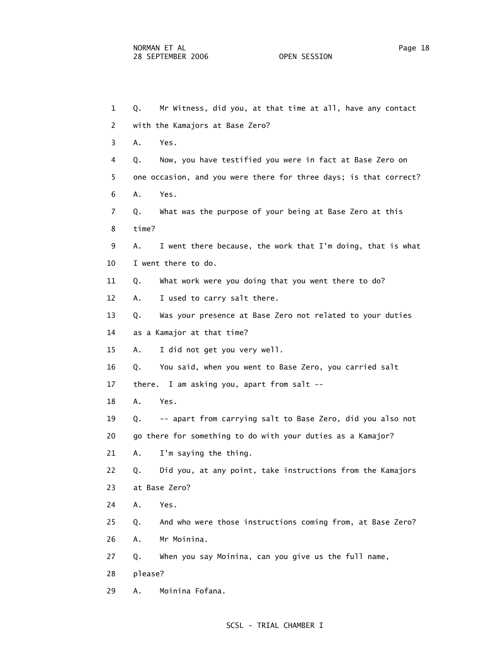| $\mathbf{1}$ | Mr Witness, did you, at that time at all, have any contact<br>Q.  |
|--------------|-------------------------------------------------------------------|
| 2            | with the Kamajors at Base Zero?                                   |
| 3            | Α.<br>Yes.                                                        |
| 4            | Now, you have testified you were in fact at Base Zero on<br>Q.    |
| 5            | one occasion, and you were there for three days; is that correct? |
| 6            | Yes.<br>Α.                                                        |
| 7            | What was the purpose of your being at Base Zero at this<br>Q.     |
| 8            | time?                                                             |
| 9            | I went there because, the work that I'm doing, that is what<br>Α. |
| 10           | I went there to do.                                               |
| 11           | What work were you doing that you went there to do?<br>Q.         |
| 12           | I used to carry salt there.<br>Α.                                 |
| 13           | Was your presence at Base Zero not related to your duties<br>Q.   |
| 14           | as a Kamajor at that time?                                        |
| 15           | I did not get you very well.<br>Α.                                |
| 16           | You said, when you went to Base Zero, you carried salt<br>Q.      |
| 17           | there. I am asking you, apart from salt --                        |
| 18           | Α.<br>Yes.                                                        |
| 19           | -- apart from carrying salt to Base Zero, did you also not<br>Q.  |
| 20           | go there for something to do with your duties as a Kamajor?       |
| 21           | I'm saying the thing.<br>Α.                                       |
| 22           | Q.<br>Did you, at any point, take instructions from the Kamajors  |
| 23           | at Base Zero?                                                     |
| 24           | Α.<br>Yes.                                                        |
| 25           | And who were those instructions coming from, at Base Zero?<br>Q.  |
| 26           | Mr Moinina.<br>Α.                                                 |
| 27           | When you say Moinina, can you give us the full name,<br>Q.        |
| 28           | please?                                                           |
| 29           | Moinina Fofana.<br>Α.                                             |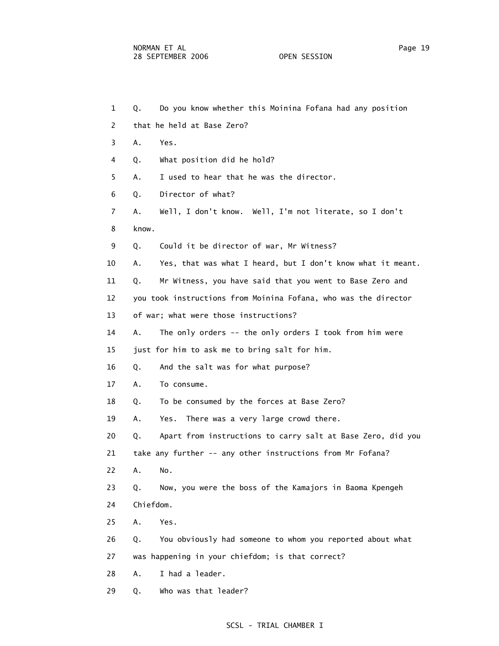| $\mathbf{1}$ | Do you know whether this Moinina Fofana had any position<br>Q.    |
|--------------|-------------------------------------------------------------------|
| 2            | that he held at Base Zero?                                        |
| 3            | Α.<br>Yes.                                                        |
| 4            | What position did he hold?<br>Q.                                  |
| 5            | I used to hear that he was the director.<br>Α.                    |
| 6            | Director of what?<br>Q.                                           |
| 7            | Well, I don't know. Well, I'm not literate, so I don't<br>Α.      |
| 8            | know.                                                             |
| 9            | Could it be director of war, Mr Witness?<br>Q.                    |
| 10           | Yes, that was what I heard, but I don't know what it meant.<br>Α. |
| 11           | Mr Witness, you have said that you went to Base Zero and<br>Q.    |
| 12           | you took instructions from Moinina Fofana, who was the director   |
| 13           | of war; what were those instructions?                             |
| 14           | The only orders -- the only orders I took from him were<br>Α.     |
| 15           | just for him to ask me to bring salt for him.                     |
| 16           | And the salt was for what purpose?<br>Q.                          |
| 17           | Α.<br>To consume.                                                 |
| 18           | To be consumed by the forces at Base Zero?<br>Q.                  |
| 19           | There was a very large crowd there.<br>Yes.<br>А.                 |
| 20           | Apart from instructions to carry salt at Base Zero, did you<br>Q. |
| 21           | take any further -- any other instructions from Mr Fofana?        |
| 22           | Α.<br>No.                                                         |
| 23           | Now, you were the boss of the Kamajors in Baoma Kpengeh<br>Q.     |
| 24           | Chiefdom.                                                         |
| 25           | Α.<br>Yes.                                                        |
| 26           | You obviously had someone to whom you reported about what<br>Q.   |
| 27           | was happening in your chiefdom; is that correct?                  |
| 28           | I had a leader.<br>Α.                                             |
| 29           | Who was that leader?<br>Q.                                        |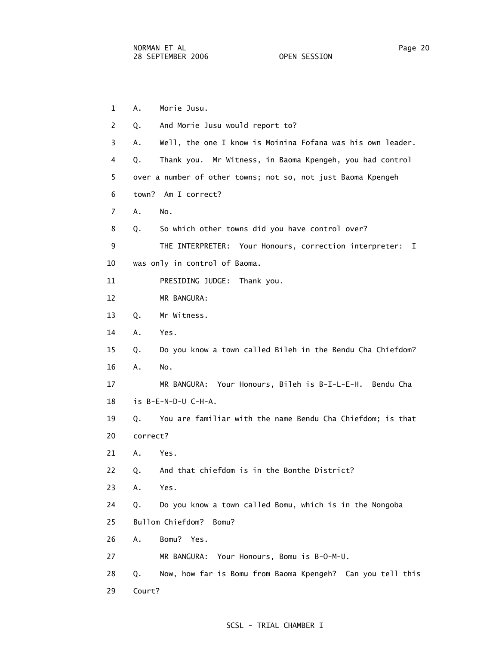1 A. Morie Jusu. 2 Q. And Morie Jusu would report to? 3 A. Well, the one I know is Moinina Fofana was his own leader. 4 Q. Thank you. Mr Witness, in Baoma Kpengeh, you had control 5 over a number of other towns; not so, not just Baoma Kpengeh 6 town? Am I correct? 7 A. No. 8 Q. So which other towns did you have control over? 9 THE INTERPRETER: Your Honours, correction interpreter: I 10 was only in control of Baoma. 11 PRESIDING JUDGE: Thank you. 12 MR BANGURA: 13 Q. Mr Witness. 14 A. Yes. 15 Q. Do you know a town called Bileh in the Bendu Cha Chiefdom? 16 A. No. 17 MR BANGURA: Your Honours, Bileh is B-I-L-E-H. Bendu Cha 18 is B-E-N-D-U C-H-A. 19 Q. You are familiar with the name Bendu Cha Chiefdom; is that 20 correct? 21 A. Yes. 22 Q. And that chiefdom is in the Bonthe District? 23 A. Yes. 24 Q. Do you know a town called Bomu, which is in the Nongoba 25 Bullom Chiefdom? Bomu? 26 A. Bomu? Yes. 27 MR BANGURA: Your Honours, Bomu is B-O-M-U. 28 Q. Now, how far is Bomu from Baoma Kpengeh? Can you tell this 29 Court?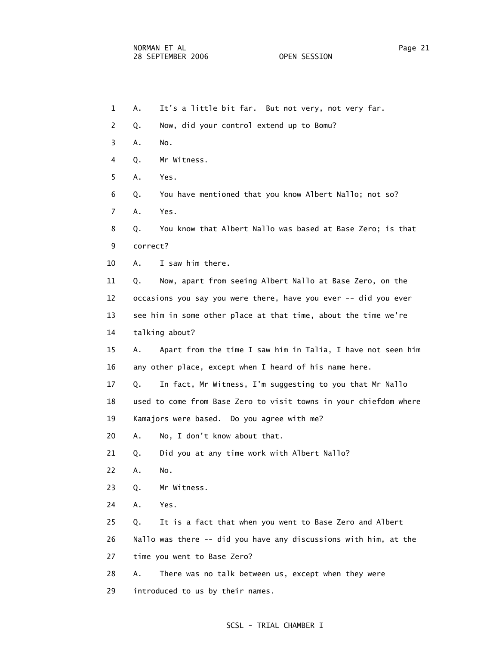- 1 A. It's a little bit far. But not very, not very far. 2 Q. Now, did your control extend up to Bomu? 3 A. No. 4 Q. Mr Witness. 5 A. Yes. 6 Q. You have mentioned that you know Albert Nallo; not so? 7 A. Yes. 8 Q. You know that Albert Nallo was based at Base Zero; is that 9 correct? 10 A. I saw him there. 11 Q. Now, apart from seeing Albert Nallo at Base Zero, on the 12 occasions you say you were there, have you ever -- did you ever 13 see him in some other place at that time, about the time we're 14 talking about? 15 A. Apart from the time I saw him in Talia, I have not seen him 16 any other place, except when I heard of his name here. 17 Q. In fact, Mr Witness, I'm suggesting to you that Mr Nallo 18 used to come from Base Zero to visit towns in your chiefdom where 19 Kamajors were based. Do you agree with me? 20 A. No, I don't know about that. 21 Q. Did you at any time work with Albert Nallo? 22 A. No. 23 Q. Mr Witness. 24 A. Yes. 25 Q. It is a fact that when you went to Base Zero and Albert 26 Nallo was there -- did you have any discussions with him, at the 27 time you went to Base Zero? 28 A. There was no talk between us, except when they were
- 29 introduced to us by their names.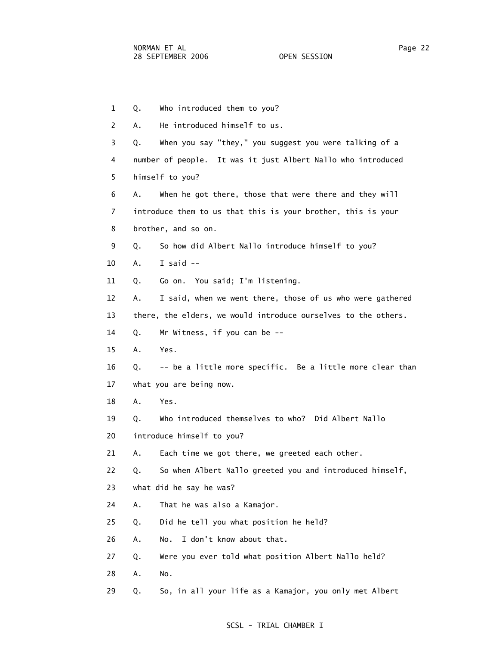1 Q. Who introduced them to you? 2 A. He introduced himself to us. 3 Q. When you say "they," you suggest you were talking of a 4 number of people. It was it just Albert Nallo who introduced 5 himself to you? 6 A. When he got there, those that were there and they will 7 introduce them to us that this is your brother, this is your 8 brother, and so on. 9 Q. So how did Albert Nallo introduce himself to you? 10 A. I said -- 11 Q. Go on. You said; I'm listening. 12 A. I said, when we went there, those of us who were gathered 13 there, the elders, we would introduce ourselves to the others. 14 Q. Mr Witness, if you can be -- 15 A. Yes. 16 Q. -- be a little more specific. Be a little more clear than 17 what you are being now. 18 A. Yes. 19 Q. Who introduced themselves to who? Did Albert Nallo 20 introduce himself to you? 21 A. Each time we got there, we greeted each other. 22 Q. So when Albert Nallo greeted you and introduced himself, 23 what did he say he was? 24 A. That he was also a Kamajor. 25 Q. Did he tell you what position he held? 26 A. No. I don't know about that. 27 Q. Were you ever told what position Albert Nallo held? 28 A. No. 29 Q. So, in all your life as a Kamajor, you only met Albert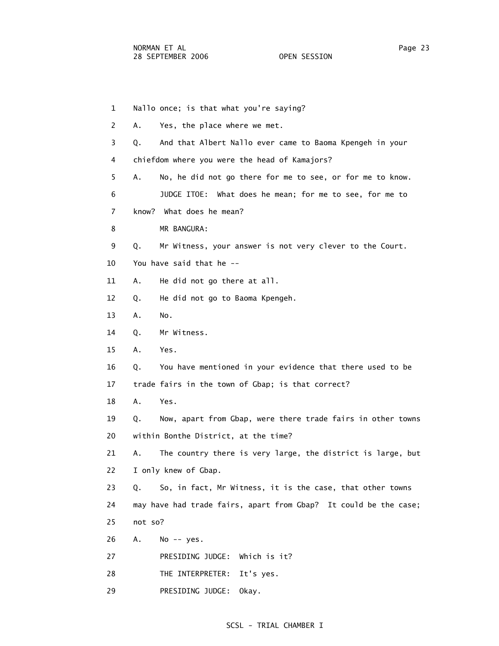1 Nallo once; is that what you're saying? 2 A. Yes, the place where we met. 3 Q. And that Albert Nallo ever came to Baoma Kpengeh in your 4 chiefdom where you were the head of Kamajors? 5 A. No, he did not go there for me to see, or for me to know. 6 JUDGE ITOE: What does he mean; for me to see, for me to 7 know? What does he mean? 8 MR BANGURA: 9 Q. Mr Witness, your answer is not very clever to the Court. 10 You have said that he -- 11 A. He did not go there at all. 12 Q. He did not go to Baoma Kpengeh. 13 A. No. 14 Q. Mr Witness. 15 A. Yes. 16 Q. You have mentioned in your evidence that there used to be 17 trade fairs in the town of Gbap; is that correct? 18 A. Yes. 19 Q. Now, apart from Gbap, were there trade fairs in other towns 20 within Bonthe District, at the time? 21 A. The country there is very large, the district is large, but 22 I only knew of Gbap. 23 Q. So, in fact, Mr Witness, it is the case, that other towns 24 may have had trade fairs, apart from Gbap? It could be the case; 25 not so? 26 A. No -- yes. 27 PRESIDING JUDGE: Which is it? 28 THE INTERPRETER: It's yes. 29 PRESIDING JUDGE: Okay.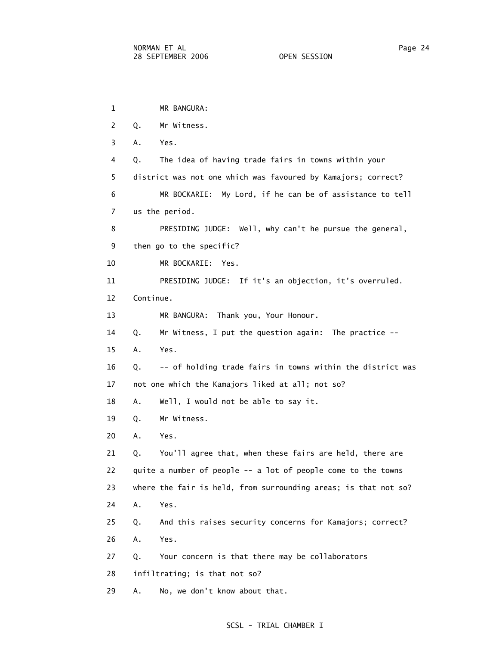1 MR BANGURA: 2 Q. Mr Witness. 3 A. Yes. 4 Q. The idea of having trade fairs in towns within your 5 district was not one which was favoured by Kamajors; correct? 6 MR BOCKARIE: My Lord, if he can be of assistance to tell 7 us the period. 8 PRESIDING JUDGE: Well, why can't he pursue the general, 9 then go to the specific? 10 MR BOCKARIE: Yes. 11 PRESIDING JUDGE: If it's an objection, it's overruled. 12 Continue. 13 MR BANGURA: Thank you, Your Honour. 14 Q. Mr Witness, I put the question again: The practice -- 15 A. Yes. 16 Q. -- of holding trade fairs in towns within the district was 17 not one which the Kamajors liked at all; not so? 18 A. Well, I would not be able to say it. 19 Q. Mr Witness. 20 A. Yes. 21 Q. You'll agree that, when these fairs are held, there are 22 quite a number of people -- a lot of people come to the towns 23 where the fair is held, from surrounding areas; is that not so? 24 A. Yes. 25 Q. And this raises security concerns for Kamajors; correct? 26 A. Yes. 27 Q. Your concern is that there may be collaborators 28 infiltrating; is that not so? 29 A. No, we don't know about that.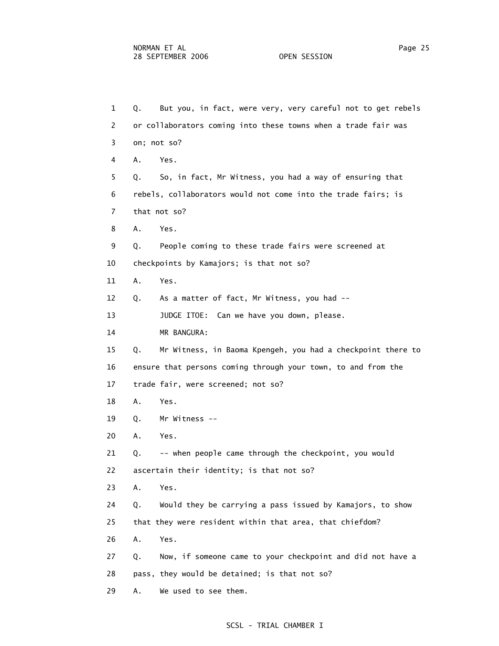1 Q. But you, in fact, were very, very careful not to get rebels 2 or collaborators coming into these towns when a trade fair was 3 on; not so? 4 A. Yes. 5 Q. So, in fact, Mr Witness, you had a way of ensuring that 6 rebels, collaborators would not come into the trade fairs; is 7 that not so? 8 A. Yes. 9 Q. People coming to these trade fairs were screened at 10 checkpoints by Kamajors; is that not so? 11 A. Yes. 12 Q. As a matter of fact, Mr Witness, you had -- 13 JUDGE ITOE: Can we have you down, please. 14 MR BANGURA: 15 Q. Mr Witness, in Baoma Kpengeh, you had a checkpoint there to 16 ensure that persons coming through your town, to and from the 17 trade fair, were screened; not so? 18 A. Yes. 19 Q. Mr Witness -- 20 A. Yes. 21 Q. -- when people came through the checkpoint, you would 22 ascertain their identity; is that not so? 23 A. Yes. 24 Q. Would they be carrying a pass issued by Kamajors, to show 25 that they were resident within that area, that chiefdom? 26 A. Yes. 27 Q. Now, if someone came to your checkpoint and did not have a 28 pass, they would be detained; is that not so? 29 A. We used to see them.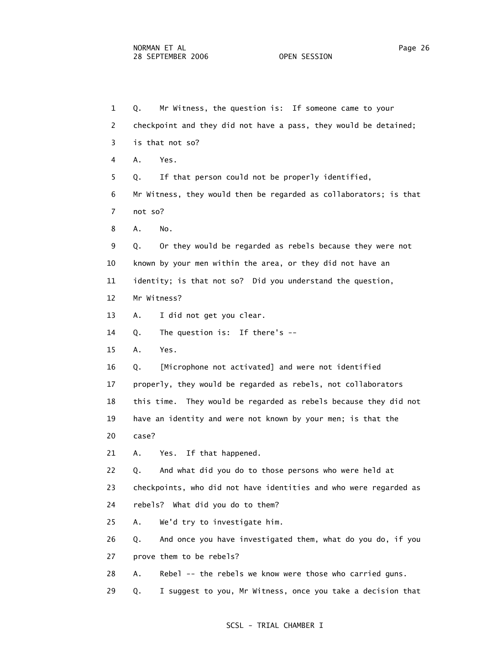1 Q. Mr Witness, the question is: If someone came to your 2 checkpoint and they did not have a pass, they would be detained; 3 is that not so? 4 A. Yes. 5 Q. If that person could not be properly identified, 6 Mr Witness, they would then be regarded as collaborators; is that 7 not so? 8 A. No. 9 Q. Or they would be regarded as rebels because they were not 10 known by your men within the area, or they did not have an 11 identity; is that not so? Did you understand the question, 12 Mr Witness? 13 A. I did not get you clear. 14 Q. The question is: If there's -- 15 A. Yes. 16 Q. [Microphone not activated] and were not identified 17 properly, they would be regarded as rebels, not collaborators 18 this time. They would be regarded as rebels because they did not 19 have an identity and were not known by your men; is that the 20 case? 21 A. Yes. If that happened. 22 Q. And what did you do to those persons who were held at 23 checkpoints, who did not have identities and who were regarded as 24 rebels? What did you do to them? 25 A. We'd try to investigate him. 26 Q. And once you have investigated them, what do you do, if you 27 prove them to be rebels? 28 A. Rebel -- the rebels we know were those who carried guns. 29 Q. I suggest to you, Mr Witness, once you take a decision that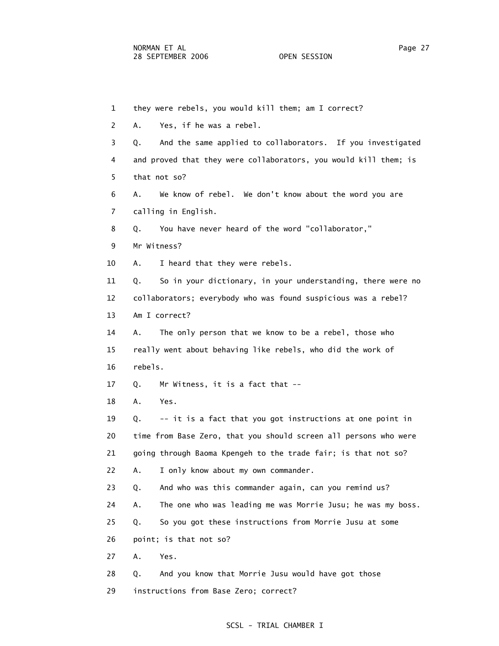1 they were rebels, you would kill them; am I correct? 2 A. Yes, if he was a rebel. 3 Q. And the same applied to collaborators. If you investigated 4 and proved that they were collaborators, you would kill them; is 5 that not so? 6 A. We know of rebel. We don't know about the word you are 7 calling in English. 8 Q. You have never heard of the word "collaborator," 9 Mr Witness? 10 A. I heard that they were rebels. 11 Q. So in your dictionary, in your understanding, there were no 12 collaborators; everybody who was found suspicious was a rebel? 13 Am I correct? 14 A. The only person that we know to be a rebel, those who 15 really went about behaving like rebels, who did the work of 16 rebels. 17 Q. Mr Witness, it is a fact that -- 18 A. Yes. 19 Q. -- it is a fact that you got instructions at one point in 20 time from Base Zero, that you should screen all persons who were 21 going through Baoma Kpengeh to the trade fair; is that not so? 22 A. I only know about my own commander. 23 Q. And who was this commander again, can you remind us? 24 A. The one who was leading me was Morrie Jusu; he was my boss. 25 Q. So you got these instructions from Morrie Jusu at some 26 point; is that not so? 27 A. Yes. 28 Q. And you know that Morrie Jusu would have got those 29 instructions from Base Zero; correct?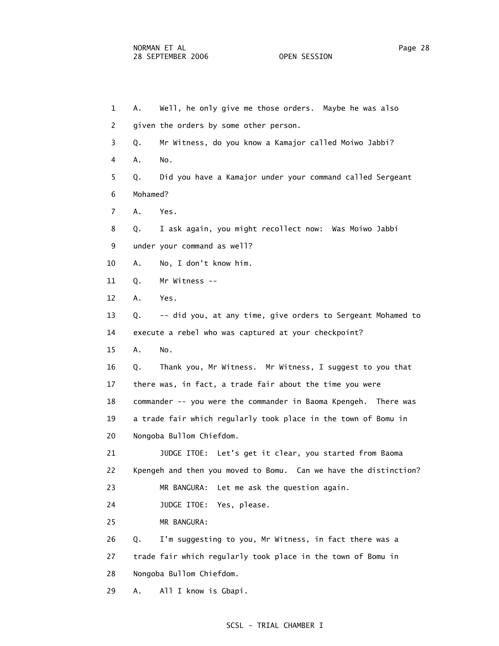1 A. Well, he only give me those orders. Maybe he was also 2 given the orders by some other person. 3 Q. Mr Witness, do you know a Kamajor called Moiwo Jabbi? 4 A. No. 5 Q. Did you have a Kamajor under your command called Sergeant 6 Mohamed? 7 A. Yes. 8 Q. I ask again, you might recollect now: Was Moiwo Jabbi 9 under your command as well? 10 A. No, I don't know him. 11 Q. Mr Witness -- 12 A. Yes. 13 Q. -- did you, at any time, give orders to Sergeant Mohamed to 14 execute a rebel who was captured at your checkpoint? 15 A. No. 16 Q. Thank you, Mr Witness. Mr Witness, I suggest to you that 17 there was, in fact, a trade fair about the time you were 18 commander -- you were the commander in Baoma Kpengeh. There was 19 a trade fair which regularly took place in the town of Bomu in 20 Nongoba Bullom Chiefdom. 21 JUDGE ITOE: Let's get it clear, you started from Baoma 22 Kpengeh and then you moved to Bomu. Can we have the distinction? 23 MR BANGURA: Let me ask the question again. 24 JUDGE ITOE: Yes, please. 25 MR BANGURA: 26 Q. I'm suggesting to you, Mr Witness, in fact there was a 27 trade fair which regularly took place in the town of Bomu in 28 Nongoba Bullom Chiefdom. 29 A. All I know is Gbapi.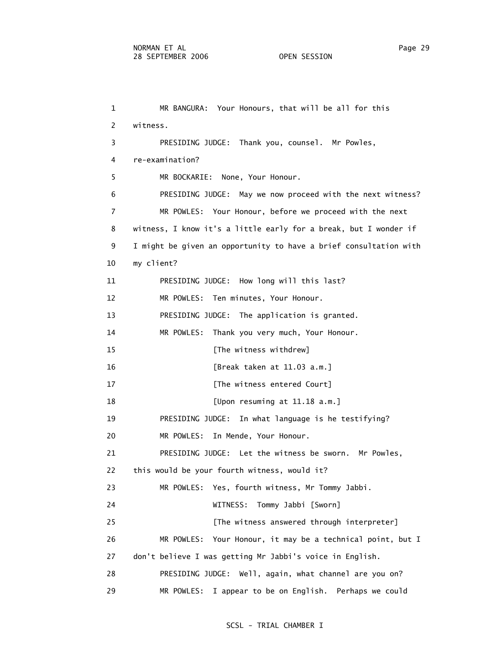1 MR BANGURA: Your Honours, that will be all for this 2 witness. 3 PRESIDING JUDGE: Thank you, counsel. Mr Powles, 4 re-examination? 5 MR BOCKARIE: None, Your Honour. 6 PRESIDING JUDGE: May we now proceed with the next witness? 7 MR POWLES: Your Honour, before we proceed with the next 8 witness, I know it's a little early for a break, but I wonder if 9 I might be given an opportunity to have a brief consultation with 10 my client? 11 PRESIDING JUDGE: How long will this last? 12 MR POWLES: Ten minutes, Your Honour. 13 PRESIDING JUDGE: The application is granted. 14 MR POWLES: Thank you very much, Your Honour. 15 **Interval** [The witness withdrew] 16 [Break taken at 11.03 a.m.] 17 **Example 17** [The witness entered Court] 18 [Upon resuming at 11.18 a.m.] 19 PRESIDING JUDGE: In what language is he testifying? 20 MR POWLES: In Mende, Your Honour. 21 PRESIDING JUDGE: Let the witness be sworn. Mr Powles, 22 this would be your fourth witness, would it? 23 MR POWLES: Yes, fourth witness, Mr Tommy Jabbi. 24 WITNESS: Tommy Jabbi [Sworn] 25 [The witness answered through interpreter] 26 MR POWLES: Your Honour, it may be a technical point, but I 27 don't believe I was getting Mr Jabbi's voice in English. 28 PRESIDING JUDGE: Well, again, what channel are you on? 29 MR POWLES: I appear to be on English. Perhaps we could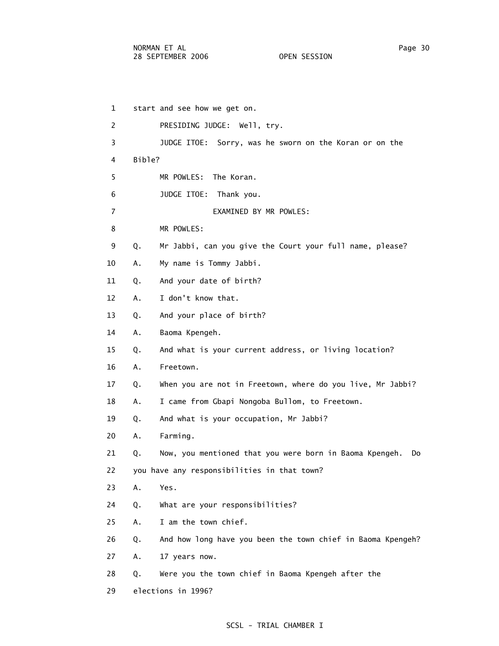1 start and see how we get on. 2 PRESIDING JUDGE: Well, try. 3 JUDGE ITOE: Sorry, was he sworn on the Koran or on the 4 Bible? 5 MR POWLES: The Koran. 6 JUDGE ITOE: Thank you. 7 EXAMINED BY MR POWLES: 8 MR POWLES: 9 Q. Mr Jabbi, can you give the Court your full name, please? 10 A. My name is Tommy Jabbi. 11 Q. And your date of birth? 12 A. I don't know that. 13 Q. And your place of birth? 14 A. Baoma Kpengeh. 15 Q. And what is your current address, or living location? 16 A. Freetown. 17 Q. When you are not in Freetown, where do you live, Mr Jabbi? 18 A. I came from Gbapi Nongoba Bullom, to Freetown. 19 Q. And what is your occupation, Mr Jabbi? 20 A. Farming. 21 Q. Now, you mentioned that you were born in Baoma Kpengeh. Do 22 you have any responsibilities in that town? 23 A. Yes. 24 Q. What are your responsibilities? 25 A. I am the town chief. 26 Q. And how long have you been the town chief in Baoma Kpengeh? 27 A. 17 years now. 28 Q. Were you the town chief in Baoma Kpengeh after the 29 elections in 1996?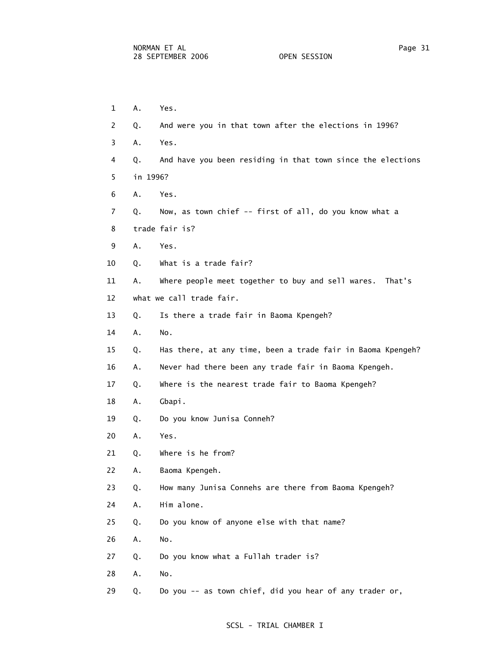- 1 A. Yes. 2 Q. And were you in that town after the elections in 1996? 3 A. Yes. 4 Q. And have you been residing in that town since the elections 5 in 1996? 6 A. Yes. 7 Q. Now, as town chief -- first of all, do you know what a 8 trade fair is? 9 A. Yes. 10 Q. What is a trade fair? 11 A. Where people meet together to buy and sell wares. That's 12 what we call trade fair. 13 Q. Is there a trade fair in Baoma Kpengeh? 14 A. No. 15 Q. Has there, at any time, been a trade fair in Baoma Kpengeh? 16 A. Never had there been any trade fair in Baoma Kpengeh. 17 Q. Where is the nearest trade fair to Baoma Kpengeh? 18 A. Gbapi. 19 Q. Do you know Junisa Conneh? 20 A. Yes. 21 Q. Where is he from? 22 A. Baoma Kpengeh. 23 Q. How many Junisa Connehs are there from Baoma Kpengeh? 24 A. Him alone. 25 Q. Do you know of anyone else with that name? 26 A. No. 27 Q. Do you know what a Fullah trader is? 28 A. No.
	- 29 Q. Do you -- as town chief, did you hear of any trader or,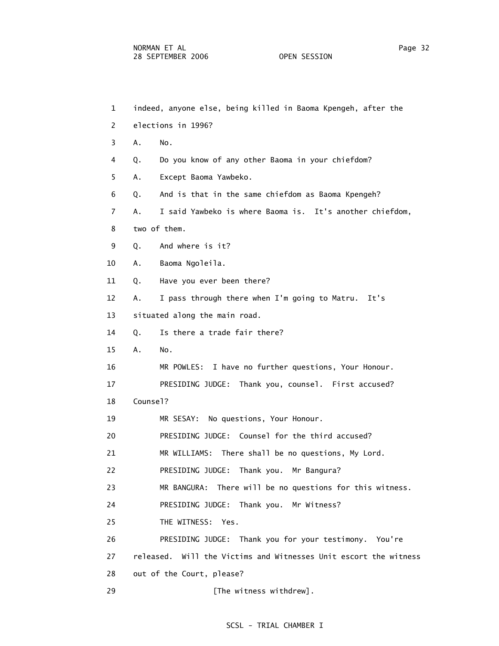- 1 indeed, anyone else, being killed in Baoma Kpengeh, after the 2 elections in 1996? 3 A. No. 4 Q. Do you know of any other Baoma in your chiefdom? 5 A. Except Baoma Yawbeko. 6 Q. And is that in the same chiefdom as Baoma Kpengeh? 7 A. I said Yawbeko is where Baoma is. It's another chiefdom, 8 two of them. 9 Q. And where is it? 10 A. Baoma Ngoleila. 11 Q. Have you ever been there? 12 A. I pass through there when I'm going to Matru. It's 13 situated along the main road. 14 Q. Is there a trade fair there? 15 A. No. 16 MR POWLES: I have no further questions, Your Honour. 17 PRESIDING JUDGE: Thank you, counsel. First accused? 18 Counsel? 19 MR SESAY: No questions, Your Honour. 20 PRESIDING JUDGE: Counsel for the third accused? 21 MR WILLIAMS: There shall be no questions, My Lord. 22 PRESIDING JUDGE: Thank you. Mr Bangura? 23 MR BANGURA: There will be no questions for this witness. 24 PRESIDING JUDGE: Thank you. Mr Witness? 25 THE WITNESS: Yes. 26 PRESIDING JUDGE: Thank you for your testimony. You're 27 released. Will the Victims and Witnesses Unit escort the witness 28 out of the Court, please?
	- 29 **Example 29** [The witness withdrew].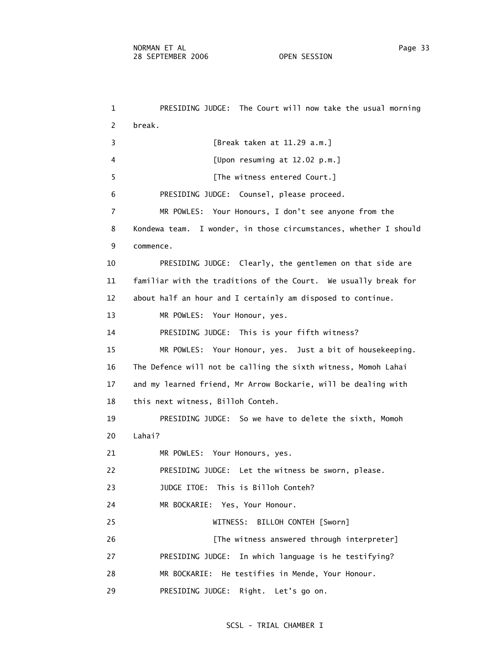1 PRESIDING JUDGE: The Court will now take the usual morning 2 break. 3 [Break taken at 11.29 a.m.] 4 [Upon resuming at 12.02 p.m.] 5 [The witness entered Court.] 6 PRESIDING JUDGE: Counsel, please proceed. 7 MR POWLES: Your Honours, I don't see anyone from the 8 Kondewa team. I wonder, in those circumstances, whether I should 9 commence. 10 PRESIDING JUDGE: Clearly, the gentlemen on that side are 11 familiar with the traditions of the Court. We usually break for 12 about half an hour and I certainly am disposed to continue. 13 MR POWLES: Your Honour, yes. 14 PRESIDING JUDGE: This is your fifth witness? 15 MR POWLES: Your Honour, yes. Just a bit of housekeeping. 16 The Defence will not be calling the sixth witness, Momoh Lahai 17 and my learned friend, Mr Arrow Bockarie, will be dealing with 18 this next witness, Billoh Conteh. 19 PRESIDING JUDGE: So we have to delete the sixth, Momoh 20 Lahai? 21 MR POWLES: Your Honours, yes. 22 PRESIDING JUDGE: Let the witness be sworn, please. 23 JUDGE ITOE: This is Billoh Conteh? 24 MR BOCKARIE: Yes, Your Honour. 25 WITNESS: BILLOH CONTEH [Sworn] 26 **Example 26** [The witness answered through interpreter] 27 PRESIDING JUDGE: In which language is he testifying? 28 MR BOCKARIE: He testifies in Mende, Your Honour. 29 PRESIDING JUDGE: Right. Let's go on.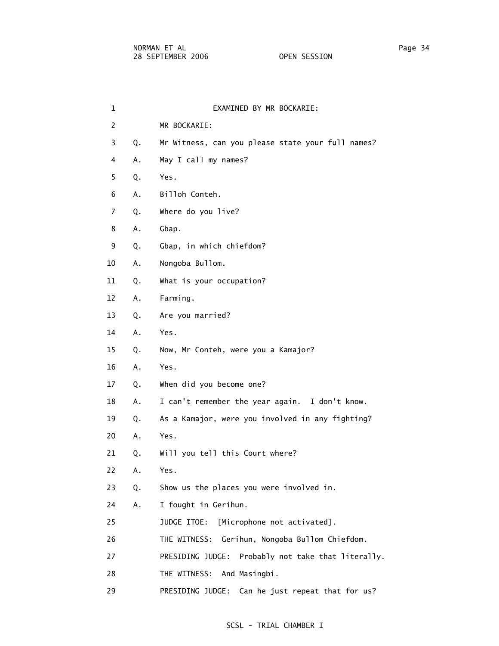| 1              |    | EXAMINED BY MR BOCKARIE:                              |
|----------------|----|-------------------------------------------------------|
| $\overline{2}$ |    | MR BOCKARIE:                                          |
| 3              | Q. | Mr Witness, can you please state your full names?     |
| 4              | Α. | May I call my names?                                  |
| 5              | Q. | Yes.                                                  |
| 6              | Α. | Billoh Conteh.                                        |
| $\overline{7}$ | Q. | Where do you live?                                    |
| 8              | Α. | Gbap.                                                 |
| 9              | Q. | Gbap, in which chiefdom?                              |
| 10             | Α. | Nongoba Bullom.                                       |
| 11             | Q. | What is your occupation?                              |
| 12             | Α. | Farming.                                              |
| 13             | Q. | Are you married?                                      |
| 14             | Α. | Yes.                                                  |
| 15             | Q. | Now, Mr Conteh, were you a Kamajor?                   |
| 16             | Α. | Yes.                                                  |
| 17             | Q. | When did you become one?                              |
| 18             | Α. | I can't remember the year again. I don't know.        |
| 19             | Q. | As a Kamajor, were you involved in any fighting?      |
| 20             | Α. | Yes.                                                  |
| 21             | Q. | Will you tell this Court where?                       |
| 22             | Α. | Yes.                                                  |
| 23             | Q. | Show us the places you were involved in.              |
| 24             | Α. | I fought in Gerihun.                                  |
| 25             |    | [Microphone not activated].<br>JUDGE ITOE:            |
| 26             |    | Gerihun, Nongoba Bullom Chiefdom.<br>THE WITNESS:     |
| 27             |    | PRESIDING JUDGE:<br>Probably not take that literally. |
| 28             |    | THE WITNESS:<br>And Masingbi.                         |
| 29             |    | Can he just repeat that for us?<br>PRESIDING JUDGE:   |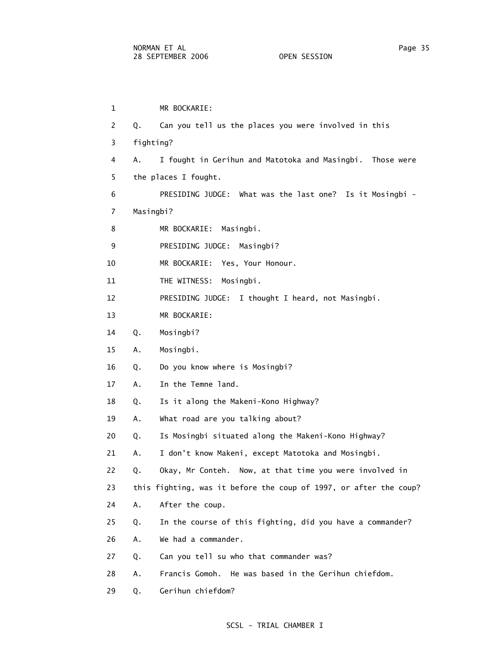1 MR BOCKARIE: 2 Q. Can you tell us the places you were involved in this 3 fighting? 4 A. I fought in Gerihun and Matotoka and Masingbi. Those were 5 the places I fought. 6 PRESIDING JUDGE: What was the last one? Is it Mosingbi - 7 Masingbi? 8 MR BOCKARIE: Masingbi. 9 PRESIDING JUDGE: Masingbi? 10 MR BOCKARIE: Yes, Your Honour. 11 THE WITNESS: Mosingbi. 12 PRESIDING JUDGE: I thought I heard, not Masingbi. 13 MR BOCKARIE: 14 Q. Mosingbi? 15 A. Mosingbi. 16 Q. Do you know where is Mosingbi? 17 A. In the Temne land. 18 Q. Is it along the Makeni-Kono Highway? 19 A. What road are you talking about? 20 Q. Is Mosingbi situated along the Makeni-Kono Highway? 21 A. I don't know Makeni, except Matotoka and Mosingbi. 22 Q. Okay, Mr Conteh. Now, at that time you were involved in 23 this fighting, was it before the coup of 1997, or after the coup? 24 A. After the coup. 25 Q. In the course of this fighting, did you have a commander? 26 A. We had a commander. 27 Q. Can you tell su who that commander was? 28 A. Francis Gomoh. He was based in the Gerihun chiefdom. 29 Q. Gerihun chiefdom?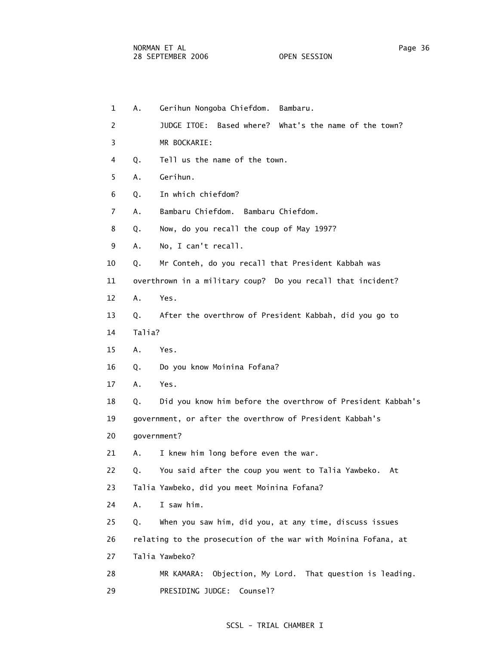| $\mathbf 1$ | А.     | Gerihun Nongoba Chiefdom. Bambaru.                             |
|-------------|--------|----------------------------------------------------------------|
| 2           |        | JUDGE ITOE: Based where? What's the name of the town?          |
| 3           |        | MR BOCKARIE:                                                   |
| 4           | Q.     | Tell us the name of the town.                                  |
| 5           | Α.     | Gerihun.                                                       |
| 6           | Q.     | In which chiefdom?                                             |
| 7           | А.     | Bambaru Chiefdom.<br>Bambaru Chiefdom.                         |
| 8           | Q.     | Now, do you recall the coup of May 1997?                       |
| 9           | Α.     | No, I can't recall.                                            |
| 10          | Q.     | Mr Conteh, do you recall that President Kabbah was             |
| 11          |        | overthrown in a military coup? Do you recall that incident?    |
| 12          | Α.     | Yes.                                                           |
| 13          | Q.     | After the overthrow of President Kabbah, did you go to         |
| 14          | Talia? |                                                                |
| 15          | Α.     | Yes.                                                           |
| 16          | Q.     | Do you know Moinina Fofana?                                    |
| 17          | Α.     | Yes.                                                           |
| 18          | Q.     | Did you know him before the overthrow of President Kabbah's    |
| 19          |        | government, or after the overthrow of President Kabbah's       |
| 20          |        | government?                                                    |
| 21          | А.     | I knew him long before even the war.                           |
| 22          | Q.     | You said after the coup you went to Talia Yawbeko.<br>At       |
| 23          |        | Talia Yawbeko, did you meet Moinina Fofana?                    |
| 24          | Α.     | I saw him.                                                     |
| 25          | Q.     | When you saw him, did you, at any time, discuss issues         |
| 26          |        | relating to the prosecution of the war with Moinina Fofana, at |
| 27          |        | Talia Yawbeko?                                                 |
| 28          |        | Objection, My Lord. That question is leading.<br>MR KAMARA:    |
| 29          |        | PRESIDING JUDGE: Counsel?                                      |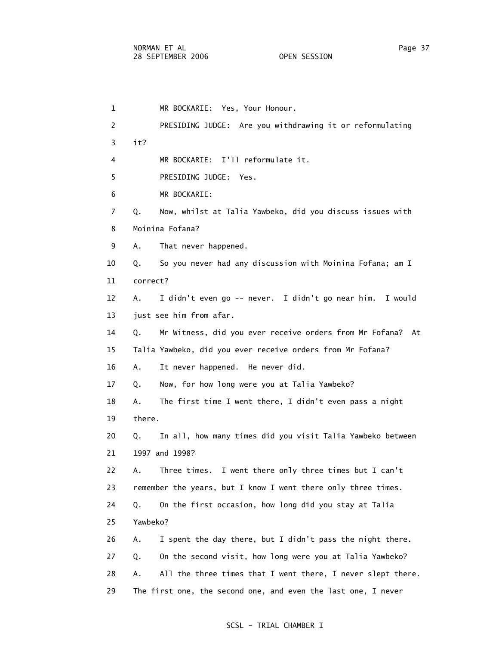1 MR BOCKARIE: Yes, Your Honour. 2 PRESIDING JUDGE: Are you withdrawing it or reformulating 3 it? 4 MR BOCKARIE: I'll reformulate it. 5 PRESIDING JUDGE: Yes. 6 MR BOCKARIE: 7 Q. Now, whilst at Talia Yawbeko, did you discuss issues with 8 Moinina Fofana? 9 A. That never happened. 10 Q. So you never had any discussion with Moinina Fofana; am I 11 correct? 12 A. I didn't even go -- never. I didn't go near him. I would 13 just see him from afar. 14 Q. Mr Witness, did you ever receive orders from Mr Fofana? At 15 Talia Yawbeko, did you ever receive orders from Mr Fofana? 16 A. It never happened. He never did. 17 Q. Now, for how long were you at Talia Yawbeko? 18 A. The first time I went there, I didn't even pass a night 19 there. 20 Q. In all, how many times did you visit Talia Yawbeko between 21 1997 and 1998? 22 A. Three times. I went there only three times but I can't 23 remember the years, but I know I went there only three times. 24 Q. On the first occasion, how long did you stay at Talia 25 Yawbeko? 26 A. I spent the day there, but I didn't pass the night there. 27 Q. On the second visit, how long were you at Talia Yawbeko? 28 A. All the three times that I went there, I never slept there. 29 The first one, the second one, and even the last one, I never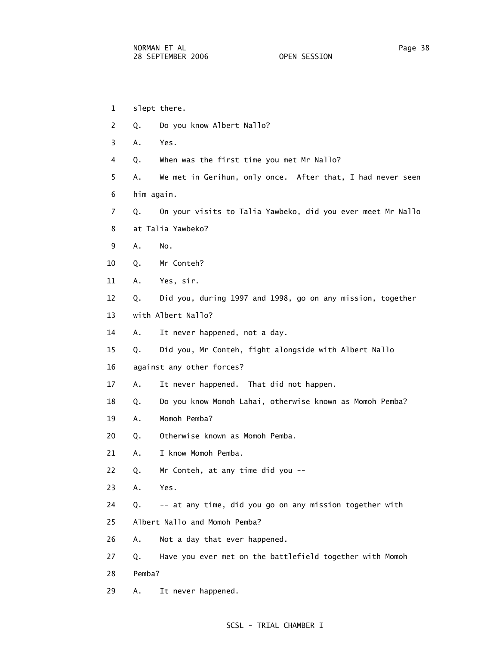1 slept there. 2 Q. Do you know Albert Nallo? 3 A. Yes. 4 Q. When was the first time you met Mr Nallo? 5 A. We met in Gerihun, only once. After that, I had never seen 6 him again. 7 Q. On your visits to Talia Yawbeko, did you ever meet Mr Nallo 8 at Talia Yawbeko? 9 A. No. 10 Q. Mr Conteh? 11 A. Yes, sir. 12 Q. Did you, during 1997 and 1998, go on any mission, together 13 with Albert Nallo? 14 A. It never happened, not a day. 15 Q. Did you, Mr Conteh, fight alongside with Albert Nallo 16 against any other forces? 17 A. It never happened. That did not happen. 18 Q. Do you know Momoh Lahai, otherwise known as Momoh Pemba? 19 A. Momoh Pemba? 20 Q. Otherwise known as Momoh Pemba. 21 A. I know Momoh Pemba. 22 Q. Mr Conteh, at any time did you -- 23 A. Yes. 24 Q. -- at any time, did you go on any mission together with 25 Albert Nallo and Momoh Pemba? 26 A. Not a day that ever happened. 27 Q. Have you ever met on the battlefield together with Momoh 28 Pemba? 29 A. It never happened.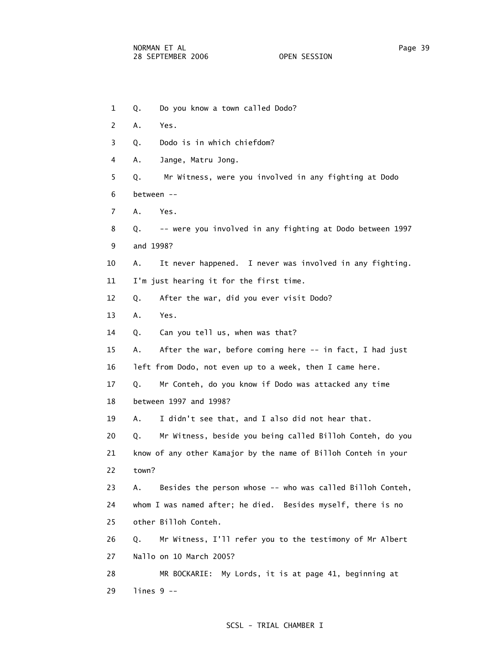1 Q. Do you know a town called Dodo? 2 A. Yes. 3 Q. Dodo is in which chiefdom? 4 A. Jange, Matru Jong. 5 Q. Mr Witness, were you involved in any fighting at Dodo 6 between -- 7 A. Yes. 8 Q. -- were you involved in any fighting at Dodo between 1997 9 and 1998? 10 A. It never happened. I never was involved in any fighting. 11 I'm just hearing it for the first time. 12 Q. After the war, did you ever visit Dodo? 13 A. Yes. 14 Q. Can you tell us, when was that? 15 A. After the war, before coming here -- in fact, I had just 16 left from Dodo, not even up to a week, then I came here. 17 Q. Mr Conteh, do you know if Dodo was attacked any time 18 between 1997 and 1998? 19 A. I didn't see that, and I also did not hear that. 20 Q. Mr Witness, beside you being called Billoh Conteh, do you 21 know of any other Kamajor by the name of Billoh Conteh in your 22 town? 23 A. Besides the person whose -- who was called Billoh Conteh, 24 whom I was named after; he died. Besides myself, there is no 25 other Billoh Conteh. 26 Q. Mr Witness, I'll refer you to the testimony of Mr Albert 27 Nallo on 10 March 2005? 28 MR BOCKARIE: My Lords, it is at page 41, beginning at 29 lines 9 --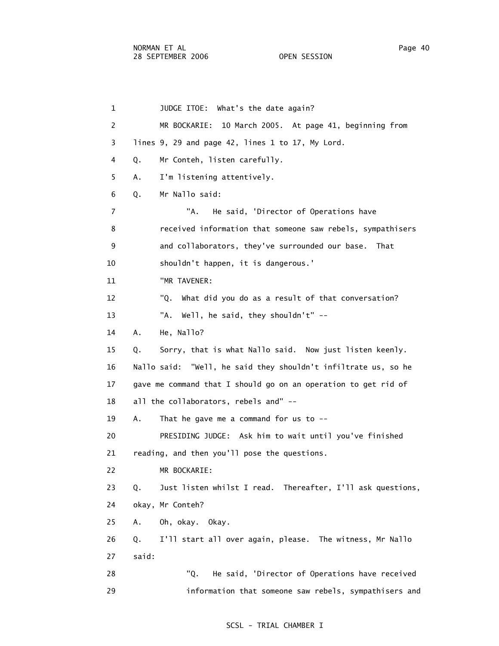| $\mathbf{1}$   | JUDGE ITOE: What's the date again?                               |
|----------------|------------------------------------------------------------------|
| $\overline{c}$ | 10 March 2005. At page 41, beginning from<br>MR BOCKARIE:        |
| 3              | lines 9, 29 and page 42, lines 1 to 17, My Lord.                 |
| 4              | Mr Conteh, listen carefully.<br>Q.                               |
| 5              | I'm listening attentively.<br>Α.                                 |
| 6              | Mr Nallo said:<br>Q.                                             |
| $\overline{7}$ | "A.<br>He said, 'Director of Operations have                     |
| 8              | received information that someone saw rebels, sympathisers       |
| 9              | and collaborators, they've surrounded our base. That             |
| 10             | shouldn't happen, it is dangerous.'                              |
| 11             | "MR TAVENER:                                                     |
| 12             | "Q. What did you do as a result of that conversation?            |
| 13             | "A. Well, he said, they shouldn't" --                            |
| 14             | Α.<br>He, Nallo?                                                 |
| 15             | Sorry, that is what Nallo said. Now just listen keenly.<br>Q.    |
| 16             | Nallo said: "Well, he said they shouldn't infiltrate us, so he   |
| 17             | gave me command that I should go on an operation to get rid of   |
| 18             | all the collaborators, rebels and" --                            |
| 19             | Α.<br>That he gave me a command for us to $-$ -                  |
| 20             | PRESIDING JUDGE: Ask him to wait until you've finished           |
| 21             | reading, and then you'll pose the questions.                     |
| 22             | MR BOCKARIE:                                                     |
| 23             | Just listen whilst I read. Thereafter, I'll ask questions,<br>Q. |
| 24             | okay, Mr Conteh?                                                 |
| 25             | Oh, okay. Okay.<br>Α.                                            |
| 26             | I'll start all over again, please. The witness, Mr Nallo<br>Q.   |
| 27             | said:                                                            |
| 28             | "Q.<br>He said, 'Director of Operations have received            |
| 29             | information that someone saw rebels, sympathisers and            |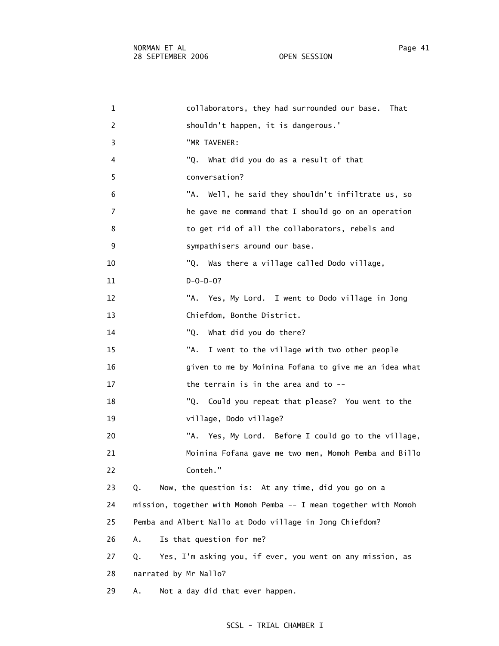| 1              | collaborators, they had surrounded our base.<br>That             |
|----------------|------------------------------------------------------------------|
| 2              | shouldn't happen, it is dangerous.'                              |
| 3              | "MR TAVENER:                                                     |
| 4              | "Q.<br>What did you do as a result of that                       |
| 5              | conversation?                                                    |
| 6              | "A. Well, he said they shouldn't infiltrate us, so               |
| $\overline{7}$ | he gave me command that I should go on an operation              |
| 8              | to get rid of all the collaborators, rebels and                  |
| 9              | sympathisers around our base.                                    |
| 10             | "Q. Was there a village called Dodo village,                     |
| 11             | $D - O - D - O?$                                                 |
| 12             | "A. Yes, My Lord. I went to Dodo village in Jong                 |
| 13             | Chiefdom, Bonthe District.                                       |
| 14             | "Q.<br>What did you do there?                                    |
| 15             | "A.<br>I went to the village with two other people               |
| 16             | given to me by Moinina Fofana to give me an idea what            |
| 17             | the terrain is in the area and to --                             |
| 18             | "Q. Could you repeat that please? You went to the                |
| 19             | village, Dodo village?                                           |
| 20             | "A. Yes, My Lord. Before I could go to the village,              |
| 21             | Moinina Fofana gave me two men, Momoh Pemba and Billo            |
| 22             | Conteh."                                                         |
| 23             | Now, the question is: At any time, did you go on a<br>Q.         |
| 24             | mission, together with Momoh Pemba -- I mean together with Momoh |
| 25             | Pemba and Albert Nallo at Dodo village in Jong Chiefdom?         |
| 26             | Is that question for me?<br>Α.                                   |
| 27             | Yes, I'm asking you, if ever, you went on any mission, as<br>Q.  |
| 28             | narrated by Mr Nallo?                                            |
| 29             | Not a day did that ever happen.<br>Α.                            |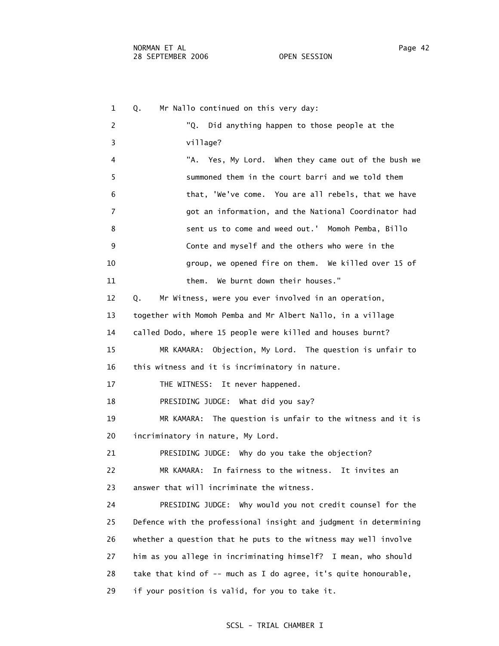1 Q. Mr Nallo continued on this very day: 2 "Q. Did anything happen to those people at the 3 village? 4 "A. Yes, My Lord. When they came out of the bush we 5 summoned them in the court barri and we told them 6 that, 'We've come. You are all rebels, that we have 7 got an information, and the National Coordinator had 8 sent us to come and weed out.' Momoh Pemba, Billo 9 Conte and myself and the others who were in the 10 group, we opened fire on them. We killed over 15 of 11 them. We burnt down their houses." 12 Q. Mr Witness, were you ever involved in an operation, 13 together with Momoh Pemba and Mr Albert Nallo, in a village 14 called Dodo, where 15 people were killed and houses burnt? 15 MR KAMARA: Objection, My Lord. The question is unfair to 16 this witness and it is incriminatory in nature. 17 THE WITNESS: It never happened. 18 PRESIDING JUDGE: What did you say? 19 MR KAMARA: The question is unfair to the witness and it is 20 incriminatory in nature, My Lord. 21 PRESIDING JUDGE: Why do you take the objection? 22 MR KAMARA: In fairness to the witness. It invites an 23 answer that will incriminate the witness. 24 PRESIDING JUDGE: Why would you not credit counsel for the 25 Defence with the professional insight and judgment in determining 26 whether a question that he puts to the witness may well involve 27 him as you allege in incriminating himself? I mean, who should 28 take that kind of -- much as I do agree, it's quite honourable, 29 if your position is valid, for you to take it.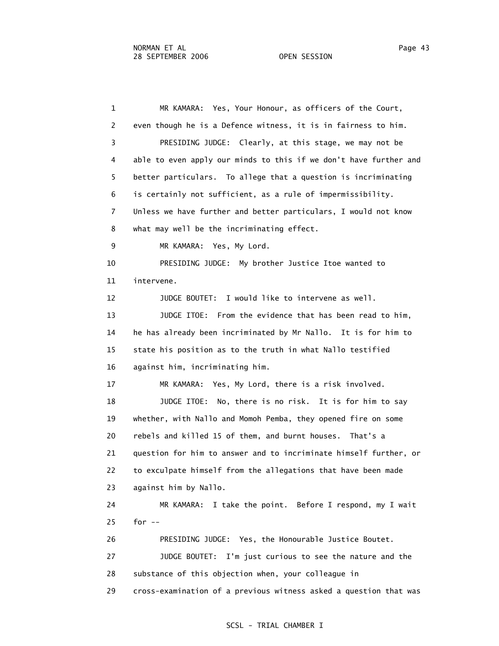1 MR KAMARA: Yes, Your Honour, as officers of the Court, 2 even though he is a Defence witness, it is in fairness to him. 3 PRESIDING JUDGE: Clearly, at this stage, we may not be 4 able to even apply our minds to this if we don't have further and 5 better particulars. To allege that a question is incriminating 6 is certainly not sufficient, as a rule of impermissibility. 7 Unless we have further and better particulars, I would not know 8 what may well be the incriminating effect. 9 MR KAMARA: Yes, My Lord. 10 PRESIDING JUDGE: My brother Justice Itoe wanted to 11 intervene. 12 JUDGE BOUTET: I would like to intervene as well. 13 JUDGE ITOE: From the evidence that has been read to him, 14 he has already been incriminated by Mr Nallo. It is for him to 15 state his position as to the truth in what Nallo testified 16 against him, incriminating him. 17 MR KAMARA: Yes, My Lord, there is a risk involved. 18 JUDGE ITOE: No, there is no risk. It is for him to say 19 whether, with Nallo and Momoh Pemba, they opened fire on some 20 rebels and killed 15 of them, and burnt houses. That's a 21 question for him to answer and to incriminate himself further, or 22 to exculpate himself from the allegations that have been made 23 against him by Nallo. 24 MR KAMARA: I take the point. Before I respond, my I wait 25 for -- 26 PRESIDING JUDGE: Yes, the Honourable Justice Boutet. 27 JUDGE BOUTET: I'm just curious to see the nature and the 28 substance of this objection when, your colleague in 29 cross-examination of a previous witness asked a question that was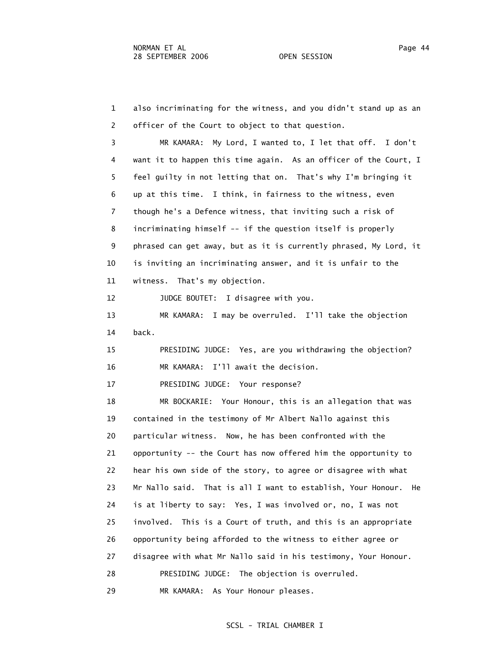1 also incriminating for the witness, and you didn't stand up as an 2 officer of the Court to object to that question. 3 MR KAMARA: My Lord, I wanted to, I let that off. I don't 4 want it to happen this time again. As an officer of the Court, I 5 feel guilty in not letting that on. That's why I'm bringing it 6 up at this time. I think, in fairness to the witness, even 7 though he's a Defence witness, that inviting such a risk of 8 incriminating himself -- if the question itself is properly 9 phrased can get away, but as it is currently phrased, My Lord, it 10 is inviting an incriminating answer, and it is unfair to the 11 witness. That's my objection. 12 JUDGE BOUTET: I disagree with you. 13 MR KAMARA: I may be overruled. I'll take the objection 14 back. 15 PRESIDING JUDGE: Yes, are you withdrawing the objection? 16 MR KAMARA: I'll await the decision. 17 PRESIDING JUDGE: Your response? 18 MR BOCKARIE: Your Honour, this is an allegation that was 19 contained in the testimony of Mr Albert Nallo against this 20 particular witness. Now, he has been confronted with the 21 opportunity -- the Court has now offered him the opportunity to 22 hear his own side of the story, to agree or disagree with what 23 Mr Nallo said. That is all I want to establish, Your Honour. He 24 is at liberty to say: Yes, I was involved or, no, I was not 25 involved. This is a Court of truth, and this is an appropriate 26 opportunity being afforded to the witness to either agree or 27 disagree with what Mr Nallo said in his testimony, Your Honour. 28 PRESIDING JUDGE: The objection is overruled. 29 MR KAMARA: As Your Honour pleases.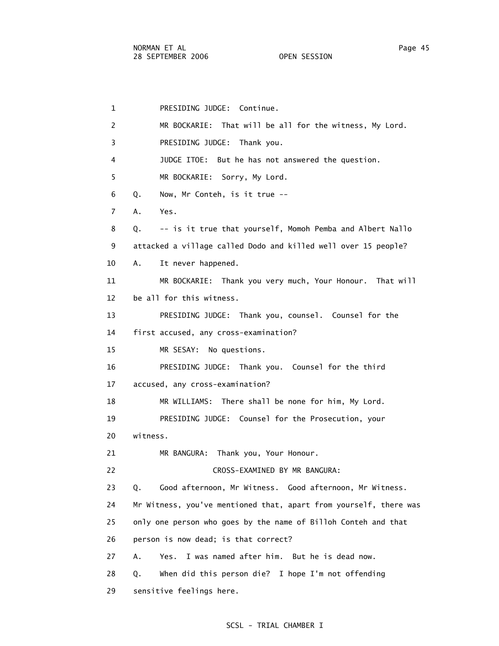1 PRESIDING JUDGE: Continue. 2 MR BOCKARIE: That will be all for the witness, My Lord. 3 PRESIDING JUDGE: Thank you. 4 JUDGE ITOE: But he has not answered the question. 5 MR BOCKARIE: Sorry, My Lord. 6 Q. Now, Mr Conteh, is it true -- 7 A. Yes. 8 Q. -- is it true that yourself, Momoh Pemba and Albert Nallo 9 attacked a village called Dodo and killed well over 15 people? 10 A. It never happened. 11 MR BOCKARIE: Thank you very much, Your Honour. That will 12 be all for this witness. 13 PRESIDING JUDGE: Thank you, counsel. Counsel for the 14 first accused, any cross-examination? 15 MR SESAY: No questions. 16 PRESIDING JUDGE: Thank you. Counsel for the third 17 accused, any cross-examination? 18 MR WILLIAMS: There shall be none for him, My Lord. 19 PRESIDING JUDGE: Counsel for the Prosecution, your 20 witness. 21 MR BANGURA: Thank you, Your Honour. 22 CROSS-EXAMINED BY MR BANGURA: 23 Q. Good afternoon, Mr Witness. Good afternoon, Mr Witness. 24 Mr Witness, you've mentioned that, apart from yourself, there was 25 only one person who goes by the name of Billoh Conteh and that 26 person is now dead; is that correct? 27 A. Yes. I was named after him. But he is dead now. 28 Q. When did this person die? I hope I'm not offending 29 sensitive feelings here.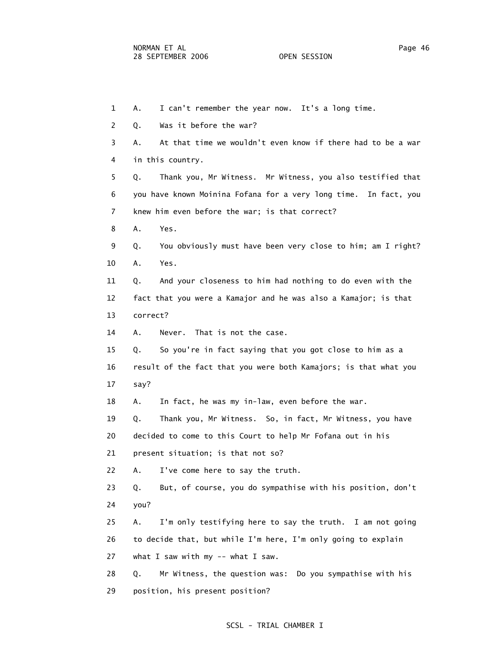1 A. I can't remember the year now. It's a long time. 2 Q. Was it before the war? 3 A. At that time we wouldn't even know if there had to be a war 4 in this country. 5 Q. Thank you, Mr Witness. Mr Witness, you also testified that 6 you have known Moinina Fofana for a very long time. In fact, you 7 knew him even before the war; is that correct? 8 A. Yes. 9 Q. You obviously must have been very close to him; am I right? 10 A. Yes. 11 Q. And your closeness to him had nothing to do even with the 12 fact that you were a Kamajor and he was also a Kamajor; is that 13 correct? 14 A. Never. That is not the case. 15 Q. So you're in fact saying that you got close to him as a 16 result of the fact that you were both Kamajors; is that what you 17 say? 18 A. In fact, he was my in-law, even before the war. 19 Q. Thank you, Mr Witness. So, in fact, Mr Witness, you have 20 decided to come to this Court to help Mr Fofana out in his 21 present situation; is that not so? 22 A. I've come here to say the truth. 23 Q. But, of course, you do sympathise with his position, don't 24 you? 25 A. I'm only testifying here to say the truth. I am not going 26 to decide that, but while I'm here, I'm only going to explain 27 what I saw with my -- what I saw. 28 Q. Mr Witness, the question was: Do you sympathise with his 29 position, his present position?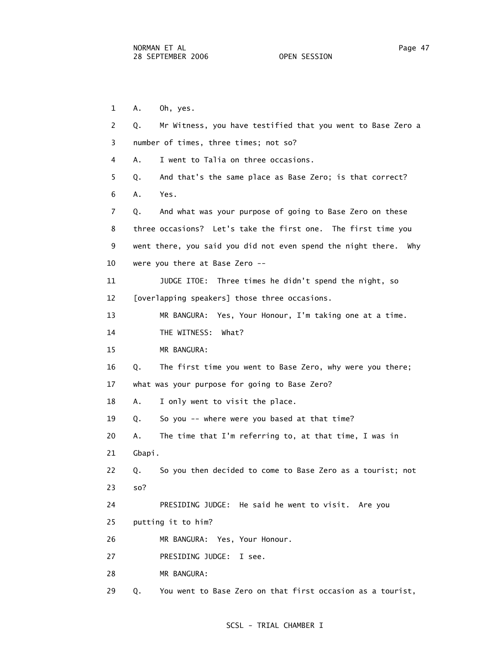1 A. Oh, yes. 2 Q. Mr Witness, you have testified that you went to Base Zero a 3 number of times, three times; not so? 4 A. I went to Talia on three occasions. 5 Q. And that's the same place as Base Zero; is that correct? 6 A. Yes. 7 Q. And what was your purpose of going to Base Zero on these 8 three occasions? Let's take the first one. The first time you 9 went there, you said you did not even spend the night there. Why 10 were you there at Base Zero -- 11 JUDGE ITOE: Three times he didn't spend the night, so 12 [overlapping speakers] those three occasions. 13 MR BANGURA: Yes, Your Honour, I'm taking one at a time. 14 THE WITNESS: What? 15 MR BANGURA: 16 Q. The first time you went to Base Zero, why were you there; 17 what was your purpose for going to Base Zero? 18 A. I only went to visit the place. 19 Q. So you -- where were you based at that time? 20 A. The time that I'm referring to, at that time, I was in 21 Gbapi. 22 Q. So you then decided to come to Base Zero as a tourist; not 23 so? 24 PRESIDING JUDGE: He said he went to visit. Are you 25 putting it to him? 26 MR BANGURA: Yes, Your Honour. 27 PRESIDING JUDGE: I see. 28 MR BANGURA: 29 Q. You went to Base Zero on that first occasion as a tourist,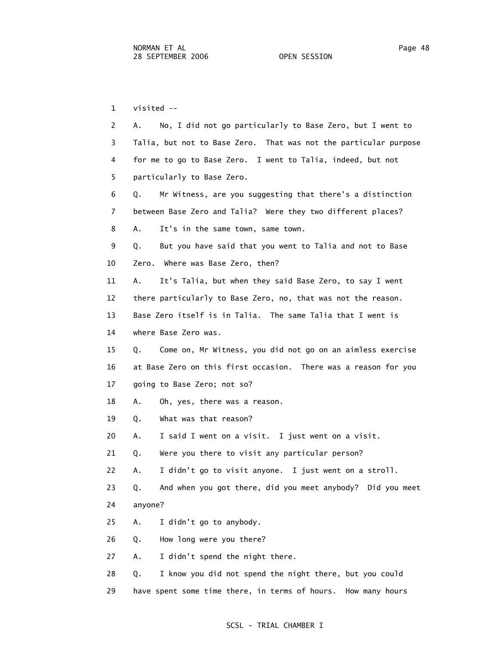1 visited -- 2 A. No, I did not go particularly to Base Zero, but I went to 3 Talia, but not to Base Zero. That was not the particular purpose 4 for me to go to Base Zero. I went to Talia, indeed, but not 5 particularly to Base Zero. 6 Q. Mr Witness, are you suggesting that there's a distinction 7 between Base Zero and Talia? Were they two different places? 8 A. It's in the same town, same town. 9 Q. But you have said that you went to Talia and not to Base 10 Zero. Where was Base Zero, then? 11 A. It's Talia, but when they said Base Zero, to say I went 12 there particularly to Base Zero, no, that was not the reason. 13 Base Zero itself is in Talia. The same Talia that I went is 14 where Base Zero was. 15 Q. Come on, Mr Witness, you did not go on an aimless exercise 16 at Base Zero on this first occasion. There was a reason for you 17 going to Base Zero; not so? 18 A. Oh, yes, there was a reason. 19 Q. What was that reason? 20 A. I said I went on a visit. I just went on a visit. 21 Q. Were you there to visit any particular person? 22 A. I didn't go to visit anyone. I just went on a stroll. 23 Q. And when you got there, did you meet anybody? Did you meet 24 anyone? 25 A. I didn't go to anybody. 26 Q. How long were you there? 27 A. I didn't spend the night there. 28 Q. I know you did not spend the night there, but you could 29 have spent some time there, in terms of hours. How many hours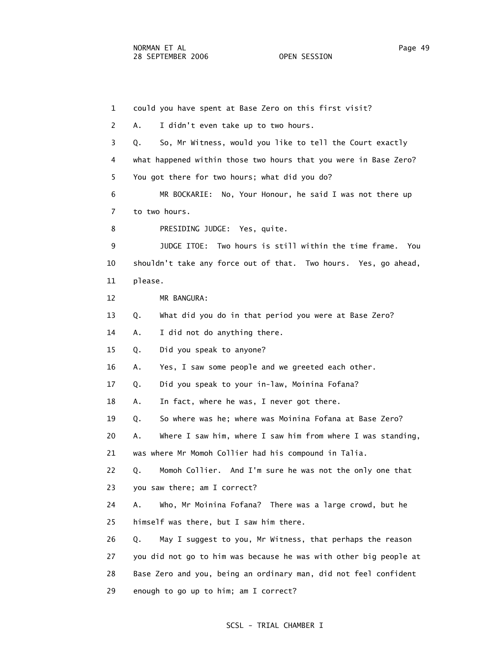1 could you have spent at Base Zero on this first visit? 2 A. I didn't even take up to two hours. 3 Q. So, Mr Witness, would you like to tell the Court exactly 4 what happened within those two hours that you were in Base Zero? 5 You got there for two hours; what did you do? 6 MR BOCKARIE: No, Your Honour, he said I was not there up 7 to two hours. 8 PRESIDING JUDGE: Yes, quite. 9 JUDGE ITOE: Two hours is still within the time frame. You 10 shouldn't take any force out of that. Two hours. Yes, go ahead, 11 please. 12 MR BANGURA: 13 Q. What did you do in that period you were at Base Zero? 14 A. I did not do anything there. 15 Q. Did you speak to anyone? 16 A. Yes, I saw some people and we greeted each other. 17 Q. Did you speak to your in-law, Moinina Fofana? 18 A. In fact, where he was, I never got there. 19 Q. So where was he; where was Moinina Fofana at Base Zero? 20 A. Where I saw him, where I saw him from where I was standing, 21 was where Mr Momoh Collier had his compound in Talia. 22 Q. Momoh Collier. And I'm sure he was not the only one that 23 you saw there; am I correct? 24 A. Who, Mr Moinina Fofana? There was a large crowd, but he 25 himself was there, but I saw him there. 26 Q. May I suggest to you, Mr Witness, that perhaps the reason 27 you did not go to him was because he was with other big people at 28 Base Zero and you, being an ordinary man, did not feel confident 29 enough to go up to him; am I correct?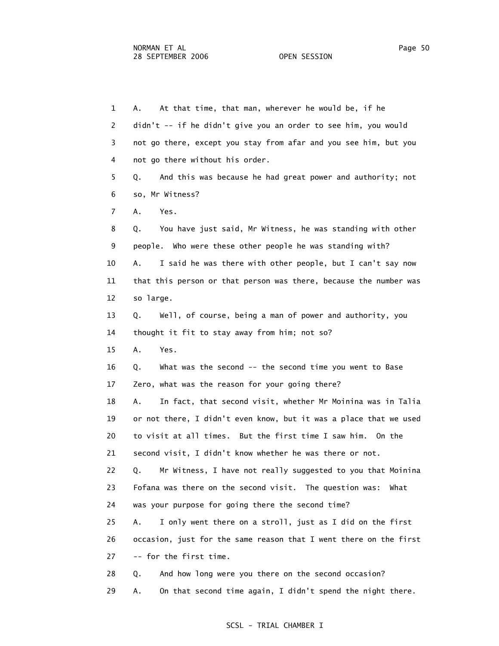1 A. At that time, that man, wherever he would be, if he 2 didn't -- if he didn't give you an order to see him, you would 3 not go there, except you stay from afar and you see him, but you 4 not go there without his order. 5 Q. And this was because he had great power and authority; not 6 so, Mr Witness? 7 A. Yes. 8 Q. You have just said, Mr Witness, he was standing with other 9 people. Who were these other people he was standing with? 10 A. I said he was there with other people, but I can't say now 11 that this person or that person was there, because the number was 12 so large. 13 Q. Well, of course, being a man of power and authority, you 14 thought it fit to stay away from him; not so? 15 A. Yes. 16 Q. What was the second -- the second time you went to Base 17 Zero, what was the reason for your going there? 18 A. In fact, that second visit, whether Mr Moinina was in Talia 19 or not there, I didn't even know, but it was a place that we used 20 to visit at all times. But the first time I saw him. On the 21 second visit, I didn't know whether he was there or not. 22 Q. Mr Witness, I have not really suggested to you that Moinina 23 Fofana was there on the second visit. The question was: What 24 was your purpose for going there the second time? 25 A. I only went there on a stroll, just as I did on the first 26 occasion, just for the same reason that I went there on the first 27 -- for the first time. 28 Q. And how long were you there on the second occasion? 29 A. On that second time again, I didn't spend the night there.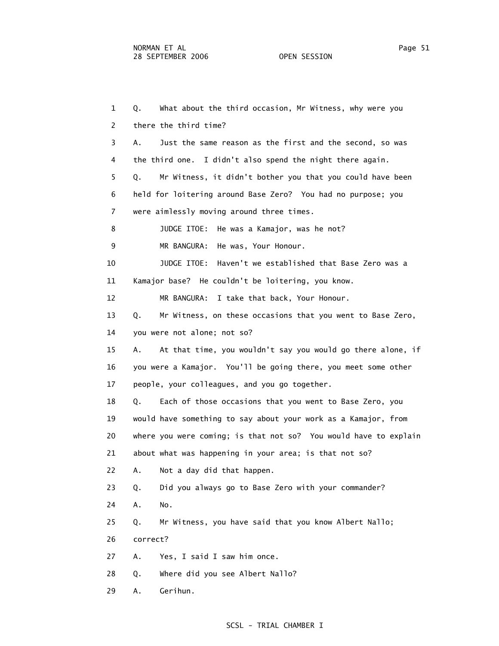1 Q. What about the third occasion, Mr Witness, why were you 2 there the third time? 3 A. Just the same reason as the first and the second, so was 4 the third one. I didn't also spend the night there again. 5 Q. Mr Witness, it didn't bother you that you could have been 6 held for loitering around Base Zero? You had no purpose; you 7 were aimlessly moving around three times. 8 JUDGE ITOE: He was a Kamajor, was he not? 9 MR BANGURA: He was, Your Honour. 10 JUDGE ITOE: Haven't we established that Base Zero was a 11 Kamajor base? He couldn't be loitering, you know. 12 MR BANGURA: I take that back, Your Honour. 13 Q. Mr Witness, on these occasions that you went to Base Zero, 14 you were not alone; not so? 15 A. At that time, you wouldn't say you would go there alone, if 16 you were a Kamajor. You'll be going there, you meet some other 17 people, your colleagues, and you go together. 18 Q. Each of those occasions that you went to Base Zero, you 19 would have something to say about your work as a Kamajor, from 20 where you were coming; is that not so? You would have to explain 21 about what was happening in your area; is that not so? 22 A. Not a day did that happen. 23 Q. Did you always go to Base Zero with your commander? 24 A. No. 25 Q. Mr Witness, you have said that you know Albert Nallo; 26 correct? 27 A. Yes, I said I saw him once. 28 Q. Where did you see Albert Nallo? 29 A. Gerihun.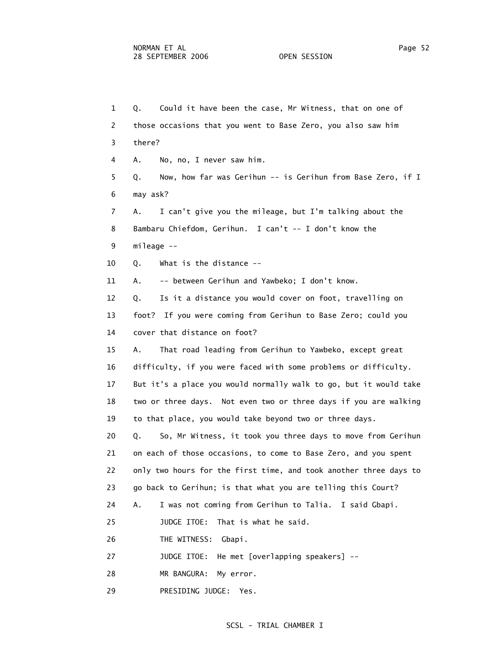1 Q. Could it have been the case, Mr Witness, that on one of 2 those occasions that you went to Base Zero, you also saw him 3 there? 4 A. No, no, I never saw him. 5 Q. Now, how far was Gerihun -- is Gerihun from Base Zero, if I 6 may ask? 7 A. I can't give you the mileage, but I'm talking about the 8 Bambaru Chiefdom, Gerihun. I can't -- I don't know the 9 mileage -- 10 Q. What is the distance -- 11 A. -- between Gerihun and Yawbeko; I don't know. 12 Q. Is it a distance you would cover on foot, travelling on 13 foot? If you were coming from Gerihun to Base Zero; could you 14 cover that distance on foot? 15 A. That road leading from Gerihun to Yawbeko, except great 16 difficulty, if you were faced with some problems or difficulty. 17 But it's a place you would normally walk to go, but it would take 18 two or three days. Not even two or three days if you are walking 19 to that place, you would take beyond two or three days. 20 Q. So, Mr Witness, it took you three days to move from Gerihun 21 on each of those occasions, to come to Base Zero, and you spent 22 only two hours for the first time, and took another three days to 23 go back to Gerihun; is that what you are telling this Court? 24 A. I was not coming from Gerihun to Talia. I said Gbapi. 25 JUDGE ITOE: That is what he said. 26 THE WITNESS: Gbapi. 27 JUDGE ITOE: He met [overlapping speakers] -- 28 MR BANGURA: My error.

29 PRESIDING JUDGE: Yes.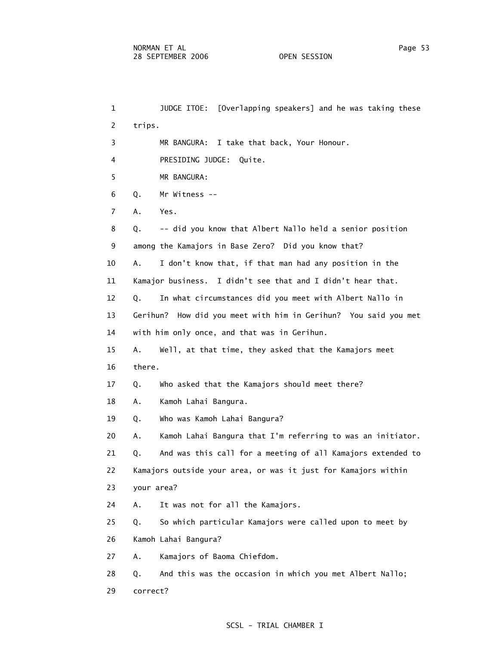1 JUDGE ITOE: [Overlapping speakers] and he was taking these 2 trips. 3 MR BANGURA: I take that back, Your Honour. 4 PRESIDING JUDGE: Quite. 5 MR BANGURA: 6 Q. Mr Witness -- 7 A. Yes. 8 Q. -- did you know that Albert Nallo held a senior position 9 among the Kamajors in Base Zero? Did you know that? 10 A. I don't know that, if that man had any position in the 11 Kamajor business. I didn't see that and I didn't hear that. 12 Q. In what circumstances did you meet with Albert Nallo in 13 Gerihun? How did you meet with him in Gerihun? You said you met 14 with him only once, and that was in Gerihun. 15 A. Well, at that time, they asked that the Kamajors meet 16 there. 17 Q. Who asked that the Kamajors should meet there? 18 A. Kamoh Lahai Bangura. 19 Q. Who was Kamoh Lahai Bangura? 20 A. Kamoh Lahai Bangura that I'm referring to was an initiator. 21 Q. And was this call for a meeting of all Kamajors extended to 22 Kamajors outside your area, or was it just for Kamajors within 23 your area? 24 A. It was not for all the Kamajors. 25 Q. So which particular Kamajors were called upon to meet by 26 Kamoh Lahai Bangura? 27 A. Kamajors of Baoma Chiefdom. 28 Q. And this was the occasion in which you met Albert Nallo; 29 correct?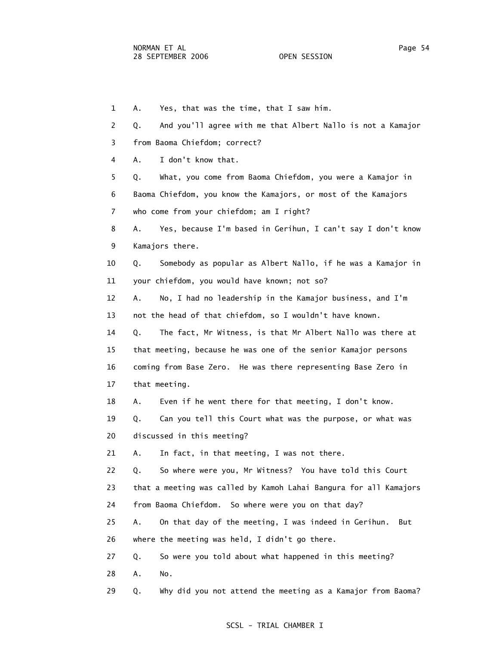1 A. Yes, that was the time, that I saw him. 2 Q. And you'll agree with me that Albert Nallo is not a Kamajor 3 from Baoma Chiefdom; correct? 4 A. I don't know that. 5 Q. What, you come from Baoma Chiefdom, you were a Kamajor in 6 Baoma Chiefdom, you know the Kamajors, or most of the Kamajors 7 who come from your chiefdom; am I right? 8 A. Yes, because I'm based in Gerihun, I can't say I don't know 9 Kamajors there. 10 Q. Somebody as popular as Albert Nallo, if he was a Kamajor in 11 your chiefdom, you would have known; not so? 12 A. No, I had no leadership in the Kamajor business, and I'm 13 not the head of that chiefdom, so I wouldn't have known. 14 Q. The fact, Mr Witness, is that Mr Albert Nallo was there at 15 that meeting, because he was one of the senior Kamajor persons 16 coming from Base Zero. He was there representing Base Zero in 17 that meeting. 18 A. Even if he went there for that meeting, I don't know. 19 Q. Can you tell this Court what was the purpose, or what was 20 discussed in this meeting? 21 A. In fact, in that meeting, I was not there. 22 Q. So where were you, Mr Witness? You have told this Court 23 that a meeting was called by Kamoh Lahai Bangura for all Kamajors 24 from Baoma Chiefdom. So where were you on that day? 25 A. On that day of the meeting, I was indeed in Gerihun. But 26 where the meeting was held, I didn't go there. 27 Q. So were you told about what happened in this meeting? 28 A. No. 29 Q. Why did you not attend the meeting as a Kamajor from Baoma?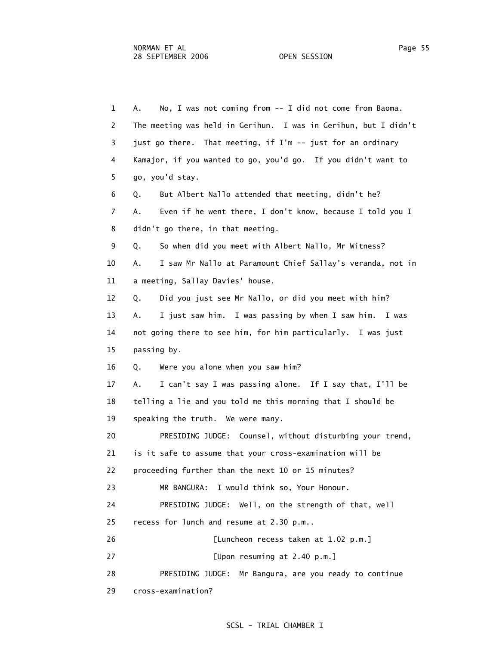1 A. No, I was not coming from -- I did not come from Baoma. 2 The meeting was held in Gerihun. I was in Gerihun, but I didn't 3 just go there. That meeting, if I'm -- just for an ordinary 4 Kamajor, if you wanted to go, you'd go. If you didn't want to 5 go, you'd stay. 6 Q. But Albert Nallo attended that meeting, didn't he? 7 A. Even if he went there, I don't know, because I told you I 8 didn't go there, in that meeting. 9 Q. So when did you meet with Albert Nallo, Mr Witness? 10 A. I saw Mr Nallo at Paramount Chief Sallay's veranda, not in 11 a meeting, Sallay Davies' house. 12 Q. Did you just see Mr Nallo, or did you meet with him? 13 A. I just saw him. I was passing by when I saw him. I was 14 not going there to see him, for him particularly. I was just 15 passing by. 16 Q. Were you alone when you saw him? 17 A. I can't say I was passing alone. If I say that, I'll be 18 telling a lie and you told me this morning that I should be 19 speaking the truth. We were many. 20 PRESIDING JUDGE: Counsel, without disturbing your trend, 21 is it safe to assume that your cross-examination will be 22 proceeding further than the next 10 or 15 minutes? 23 MR BANGURA: I would think so, Your Honour. 24 PRESIDING JUDGE: Well, on the strength of that, well 25 recess for lunch and resume at 2.30 p.m.. 26 [Luncheon recess taken at 1.02 p.m.] 27 [Upon resuming at 2.40 p.m.] 28 PRESIDING JUDGE: Mr Bangura, are you ready to continue 29 cross-examination?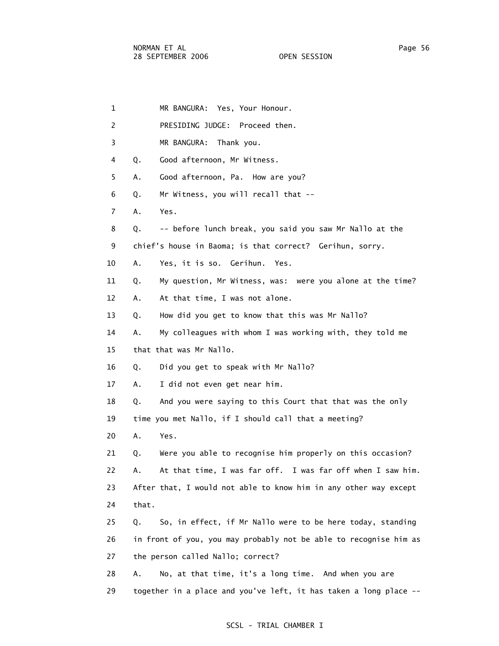| $\mathbf 1$ | MR BANGURA: Yes, Your Honour.                                     |
|-------------|-------------------------------------------------------------------|
| 2           | PRESIDING JUDGE: Proceed then.                                    |
| 3           | MR BANGURA: Thank you.                                            |
| 4           | Good afternoon, Mr Witness.<br>Q.                                 |
| 5           | Good afternoon, Pa. How are you?<br>Α.                            |
| 6           | Mr Witness, you will recall that --<br>Q.                         |
| 7           | Yes.<br>Α.                                                        |
| 8           | -- before lunch break, you said you saw Mr Nallo at the<br>Q.     |
| 9           | chief's house in Baoma; is that correct? Gerihun, sorry.          |
| 10          | Yes, it is so. Gerihun. Yes.<br>Α.                                |
| 11          | My question, Mr Witness, was: were you alone at the time?<br>Q.   |
| 12          | Α.<br>At that time, I was not alone.                              |
| 13          | How did you get to know that this was Mr Nallo?<br>Q.             |
| 14          | My colleagues with whom I was working with, they told me<br>А.    |
| 15          | that that was Mr Nallo.                                           |
| 16          | Did you get to speak with Mr Nallo?<br>Q.                         |
| 17          | I did not even get near him.<br>А.                                |
| 18          | And you were saying to this Court that that was the only<br>Q.    |
| 19          | time you met Nallo, if I should call that a meeting?              |
| 20          | Α.<br>Yes.                                                        |
| 21          | Were you able to recognise him properly on this occasion?<br>Q.   |
| 22          | At that time, I was far off. I was far off when I saw him.<br>Α.  |
| 23          | After that, I would not able to know him in any other way except  |
| 24          | that.                                                             |
| 25          | So, in effect, if Mr Nallo were to be here today, standing<br>Q.  |
| 26          | in front of you, you may probably not be able to recognise him as |
| 27          | the person called Nallo; correct?                                 |
| 28          | No, at that time, it's a long time. And when you are<br>Α.        |
| 29          | together in a place and you've left, it has taken a long place -- |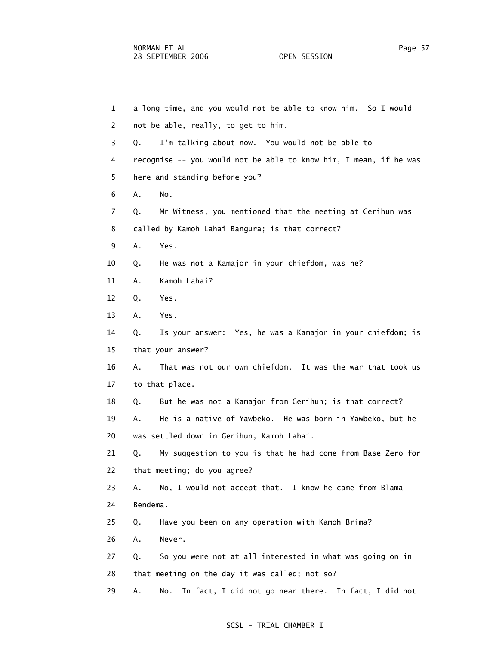| $\mathbf{1}$   | a long time, and you would not be able to know him. So I would    |
|----------------|-------------------------------------------------------------------|
| $\overline{2}$ | not be able, really, to get to him.                               |
| 3              | I'm talking about now. You would not be able to<br>Q.             |
| 4              | recognise -- you would not be able to know him, I mean, if he was |
| 5              | here and standing before you?                                     |
| 6              | No.<br>Α.                                                         |
| 7              | Mr Witness, you mentioned that the meeting at Gerihun was<br>Q.   |
| 8              | called by Kamoh Lahai Bangura; is that correct?                   |
| 9              | Α.<br>Yes.                                                        |
| 10             | He was not a Kamajor in your chiefdom, was he?<br>Q.              |
| 11             | Kamoh Lahai?<br>Α.                                                |
| 12             | Yes.<br>Q.                                                        |
| 13             | Α.<br>Yes.                                                        |
| 14             | Is your answer: Yes, he was a Kamajor in your chiefdom; is<br>Q.  |
| 15             | that your answer?                                                 |
| 16             | That was not our own chiefdom. It was the war that took us<br>А.  |
| 17             | to that place.                                                    |
| 18             | But he was not a Kamajor from Gerihun; is that correct?<br>Q.     |
| 19             | He is a native of Yawbeko. He was born in Yawbeko, but he<br>А.   |
| 20             | was settled down in Gerihun, Kamoh Lahai.                         |
| 21             | My suggestion to you is that he had come from Base Zero for<br>Q. |
| 22             | that meeting; do you agree?                                       |
| 23             | No, I would not accept that. I know he came from Blama<br>А.      |
| 24             | Bendema.                                                          |
| 25             | Have you been on any operation with Kamoh Brima?<br>Q.            |
| 26             | Never.<br>Α.                                                      |
| 27             | So you were not at all interested in what was going on in<br>Q.   |
| 28             | that meeting on the day it was called; not so?                    |
| 29             | In fact, I did not go near there. In fact, I did not<br>Α.<br>No. |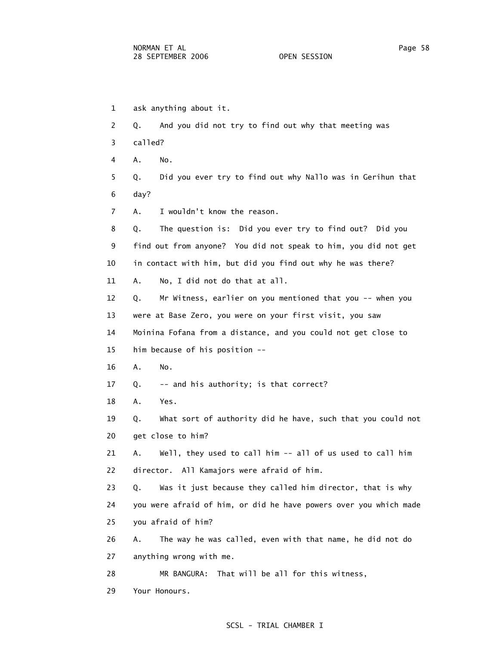1 ask anything about it. 2 Q. And you did not try to find out why that meeting was 3 called? 4 A. No. 5 Q. Did you ever try to find out why Nallo was in Gerihun that 6 day? 7 A. I wouldn't know the reason. 8 Q. The question is: Did you ever try to find out? Did you 9 find out from anyone? You did not speak to him, you did not get 10 in contact with him, but did you find out why he was there? 11 A. No, I did not do that at all. 12 Q. Mr Witness, earlier on you mentioned that you -- when you 13 were at Base Zero, you were on your first visit, you saw 14 Moinina Fofana from a distance, and you could not get close to 15 him because of his position -- 16 A. No. 17 Q. -- and his authority; is that correct? 18 A. Yes. 19 Q. What sort of authority did he have, such that you could not 20 get close to him? 21 A. Well, they used to call him -- all of us used to call him 22 director. All Kamajors were afraid of him. 23 Q. Was it just because they called him director, that is why 24 you were afraid of him, or did he have powers over you which made 25 you afraid of him? 26 A. The way he was called, even with that name, he did not do 27 anything wrong with me. 28 MR BANGURA: That will be all for this witness,

29 Your Honours.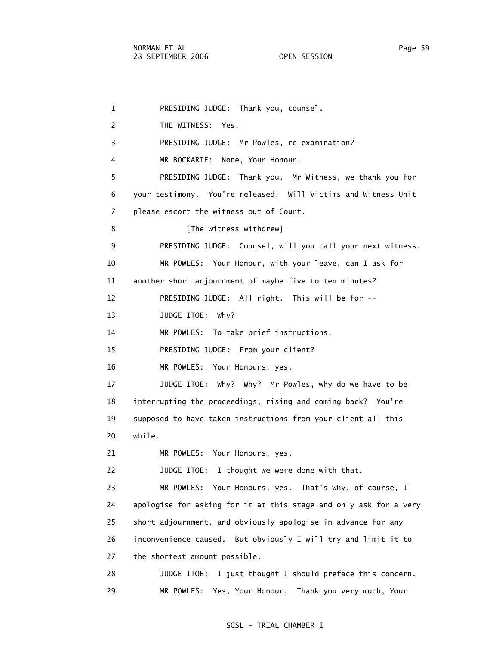1 PRESIDING JUDGE: Thank you, counsel. 2 THE WITNESS: Yes. 3 PRESIDING JUDGE: Mr Powles, re-examination? 4 MR BOCKARIE: None, Your Honour. 5 PRESIDING JUDGE: Thank you. Mr Witness, we thank you for 6 your testimony. You're released. Will Victims and Witness Unit 7 please escort the witness out of Court. 8 [The witness withdrew] 9 PRESIDING JUDGE: Counsel, will you call your next witness. 10 MR POWLES: Your Honour, with your leave, can I ask for 11 another short adjournment of maybe five to ten minutes? 12 PRESIDING JUDGE: All right. This will be for -- 13 JUDGE ITOE: Why? 14 MR POWLES: To take brief instructions. 15 PRESIDING JUDGE: From your client? 16 MR POWLES: Your Honours, yes. 17 JUDGE ITOE: Why? Why? Mr Powles, why do we have to be 18 interrupting the proceedings, rising and coming back? You're 19 supposed to have taken instructions from your client all this 20 while. 21 MR POWLES: Your Honours, yes. 22 JUDGE ITOE: I thought we were done with that. 23 MR POWLES: Your Honours, yes. That's why, of course, I 24 apologise for asking for it at this stage and only ask for a very 25 short adjournment, and obviously apologise in advance for any 26 inconvenience caused. But obviously I will try and limit it to 27 the shortest amount possible. 28 JUDGE ITOE: I just thought I should preface this concern. 29 MR POWLES: Yes, Your Honour. Thank you very much, Your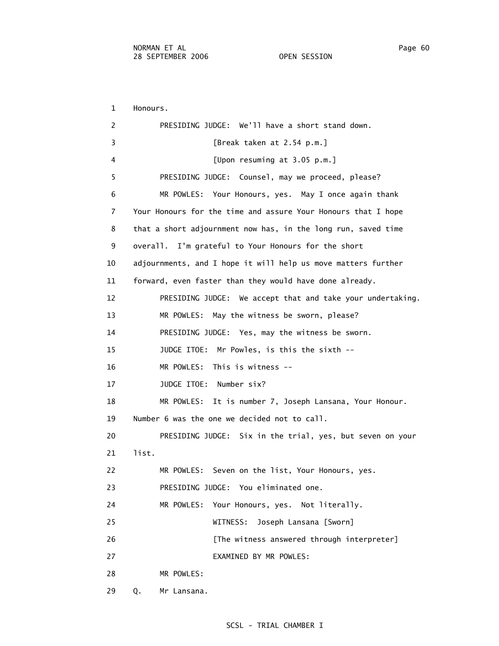1 Honours. 2 PRESIDING JUDGE: We'll have a short stand down. 3 [Break taken at 2.54 p.m.] 4 [Upon resuming at 3.05 p.m.] 5 PRESIDING JUDGE: Counsel, may we proceed, please? 6 MR POWLES: Your Honours, yes. May I once again thank 7 Your Honours for the time and assure Your Honours that I hope 8 that a short adjournment now has, in the long run, saved time 9 overall. I'm grateful to Your Honours for the short 10 adjournments, and I hope it will help us move matters further 11 forward, even faster than they would have done already. 12 PRESIDING JUDGE: We accept that and take your undertaking. 13 MR POWLES: May the witness be sworn, please? 14 PRESIDING JUDGE: Yes, may the witness be sworn. 15 JUDGE ITOE: Mr Powles, is this the sixth -- 16 MR POWLES: This is witness -- 17 JUDGE ITOE: Number six? 18 MR POWLES: It is number 7, Joseph Lansana, Your Honour. 19 Number 6 was the one we decided not to call. 20 PRESIDING JUDGE: Six in the trial, yes, but seven on your 21 list. 22 MR POWLES: Seven on the list, Your Honours, yes. 23 PRESIDING JUDGE: You eliminated one. 24 MR POWLES: Your Honours, yes. Not literally. 25 WITNESS: Joseph Lansana [Sworn] 26 **[The witness answered through interpreter]**  27 EXAMINED BY MR POWLES: 28 MR POWLES: 29 Q. Mr Lansana.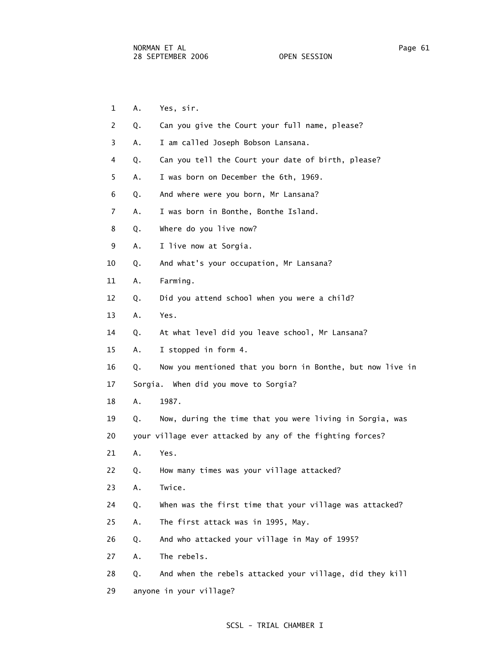- 1 A. Yes, sir.
- 2 Q. Can you give the Court your full name, please?
- 3 A. I am called Joseph Bobson Lansana.
- 4 Q. Can you tell the Court your date of birth, please?
- 5 A. I was born on December the 6th, 1969.
- 6 Q. And where were you born, Mr Lansana?
- 7 A. I was born in Bonthe, Bonthe Island.
- 8 Q. Where do you live now?
- 9 A. I live now at Sorgia.
- 10 Q. And what's your occupation, Mr Lansana?
- 11 A. Farming.
- 12 Q. Did you attend school when you were a child?
- 13 A. Yes.
- 14 Q. At what level did you leave school, Mr Lansana?
- 15 A. I stopped in form 4.
- 16 Q. Now you mentioned that you born in Bonthe, but now live in
- 17 Sorgia. When did you move to Sorgia?
- 18 A. 1987.
- 19 Q. Now, during the time that you were living in Sorgia, was
- 20 your village ever attacked by any of the fighting forces?
- 21 A. Yes.
- 22 Q. How many times was your village attacked?
- 23 A. Twice.
- 24 Q. When was the first time that your village was attacked?
- 25 A. The first attack was in 1995, May.
- 26 Q. And who attacked your village in May of 1995?
- 27 A. The rebels.
- 28 Q. And when the rebels attacked your village, did they kill
- 29 anyone in your village?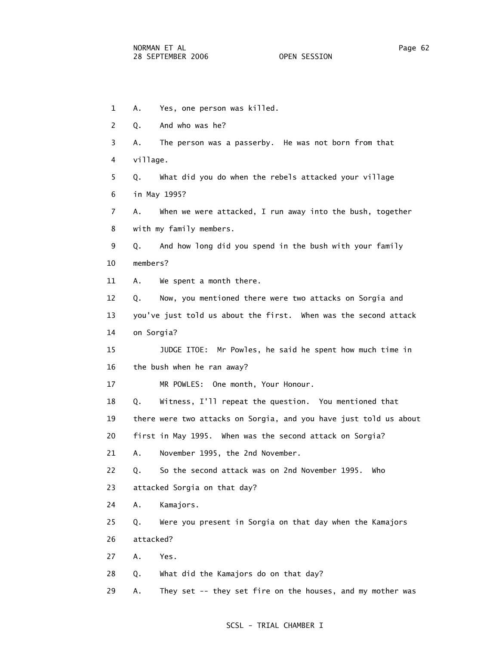1 A. Yes, one person was killed. 2 Q. And who was he? 3 A. The person was a passerby. He was not born from that 4 village. 5 Q. What did you do when the rebels attacked your village 6 in May 1995? 7 A. When we were attacked, I run away into the bush, together 8 with my family members. 9 Q. And how long did you spend in the bush with your family 10 members? 11 A. We spent a month there. 12 Q. Now, you mentioned there were two attacks on Sorgia and 13 you've just told us about the first. When was the second attack 14 on Sorgia? 15 JUDGE ITOE: Mr Powles, he said he spent how much time in 16 the bush when he ran away? 17 MR POWLES: One month, Your Honour. 18 Q. Witness, I'll repeat the question. You mentioned that 19 there were two attacks on Sorgia, and you have just told us about 20 first in May 1995. When was the second attack on Sorgia? 21 A. November 1995, the 2nd November. 22 Q. So the second attack was on 2nd November 1995. Who 23 attacked Sorgia on that day? 24 A. Kamajors. 25 Q. Were you present in Sorgia on that day when the Kamajors 26 attacked? 27 A. Yes. 28 Q. What did the Kamajors do on that day?

# 29 A. They set -- they set fire on the houses, and my mother was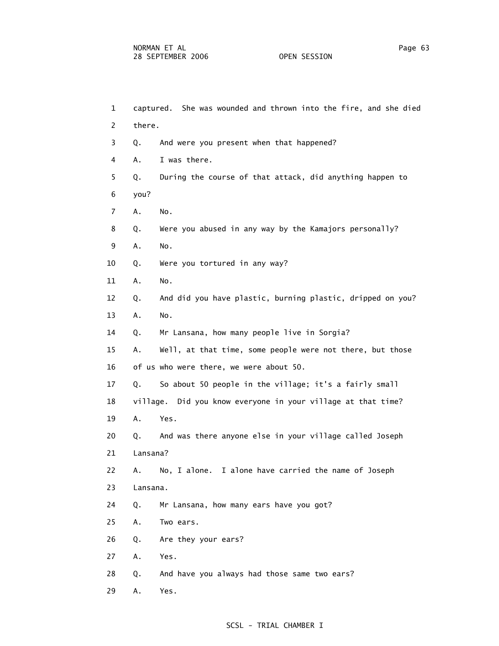1 captured. She was wounded and thrown into the fire, and she died 2 there. 3 Q. And were you present when that happened? 4 A. I was there. 5 Q. During the course of that attack, did anything happen to 6 you? 7 A. No. 8 Q. Were you abused in any way by the Kamajors personally? 9 A. No. 10 Q. Were you tortured in any way? 11 A. No. 12 Q. And did you have plastic, burning plastic, dripped on you? 13 A. No. 14 Q. Mr Lansana, how many people live in Sorgia? 15 A. Well, at that time, some people were not there, but those 16 of us who were there, we were about 50. 17 Q. So about 50 people in the village; it's a fairly small 18 village. Did you know everyone in your village at that time? 19 A. Yes. 20 Q. And was there anyone else in your village called Joseph 21 Lansana? 22 A. No, I alone. I alone have carried the name of Joseph 23 Lansana. 24 Q. Mr Lansana, how many ears have you got? 25 A. Two ears. 26 Q. Are they your ears? 27 A. Yes. 28 Q. And have you always had those same two ears? 29 A. Yes.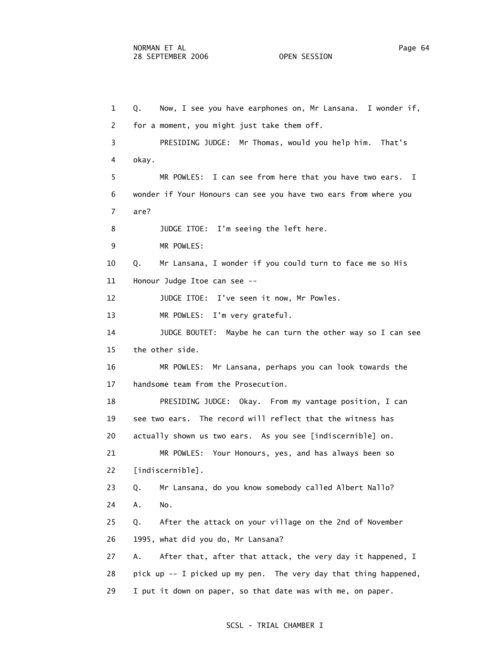1 Q. Now, I see you have earphones on, Mr Lansana. I wonder if, 2 for a moment, you might just take them off. 3 PRESIDING JUDGE: Mr Thomas, would you help him. That's 4 okay. 5 MR POWLES: I can see from here that you have two ears. I 6 wonder if Your Honours can see you have two ears from where you 7 are? 8 JUDGE ITOE: I'm seeing the left here. 9 MR POWLES: 10 Q. Mr Lansana, I wonder if you could turn to face me so His 11 Honour Judge Itoe can see -- 12 JUDGE ITOE: I've seen it now, Mr Powles. 13 MR POWLES: I'm very grateful. 14 JUDGE BOUTET: Maybe he can turn the other way so I can see 15 the other side. 16 MR POWLES: Mr Lansana, perhaps you can look towards the 17 handsome team from the Prosecution. 18 PRESIDING JUDGE: Okay. From my vantage position, I can 19 see two ears. The record will reflect that the witness has 20 actually shown us two ears. As you see [indiscernible] on. 21 MR POWLES: Your Honours, yes, and has always been so 22 [indiscernible]. 23 Q. Mr Lansana, do you know somebody called Albert Nallo? 24 A. No. 25 Q. After the attack on your village on the 2nd of November 26 1995, what did you do, Mr Lansana? 27 A. After that, after that attack, the very day it happened, I 28 pick up -- I picked up my pen. The very day that thing happened, 29 I put it down on paper, so that date was with me, on paper.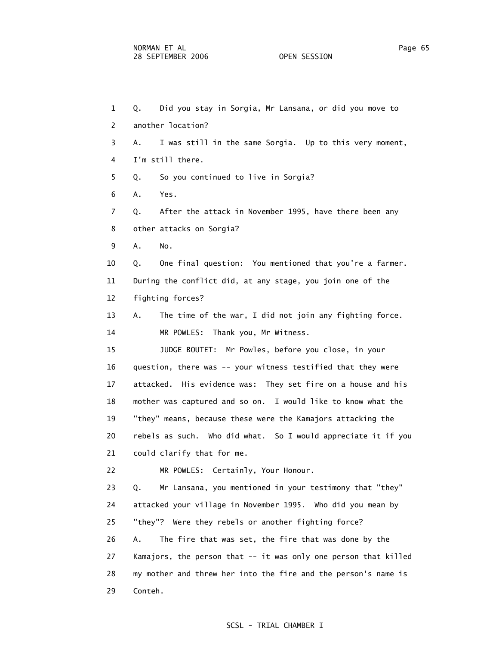1 Q. Did you stay in Sorgia, Mr Lansana, or did you move to 2 another location? 3 A. I was still in the same Sorgia. Up to this very moment, 4 I'm still there. 5 Q. So you continued to live in Sorgia? 6 A. Yes. 7 Q. After the attack in November 1995, have there been any 8 other attacks on Sorgia? 9 A. No. 10 Q. One final question: You mentioned that you're a farmer. 11 During the conflict did, at any stage, you join one of the 12 fighting forces? 13 A. The time of the war, I did not join any fighting force. 14 MR POWLES: Thank you, Mr Witness. 15 JUDGE BOUTET: Mr Powles, before you close, in your 16 question, there was -- your witness testified that they were 17 attacked. His evidence was: They set fire on a house and his 18 mother was captured and so on. I would like to know what the 19 "they" means, because these were the Kamajors attacking the 20 rebels as such. Who did what. So I would appreciate it if you 21 could clarify that for me. 22 MR POWLES: Certainly, Your Honour. 23 Q. Mr Lansana, you mentioned in your testimony that "they" 24 attacked your village in November 1995. Who did you mean by 25 "they"? Were they rebels or another fighting force? 26 A. The fire that was set, the fire that was done by the 27 Kamajors, the person that -- it was only one person that killed 28 my mother and threw her into the fire and the person's name is 29 Conteh.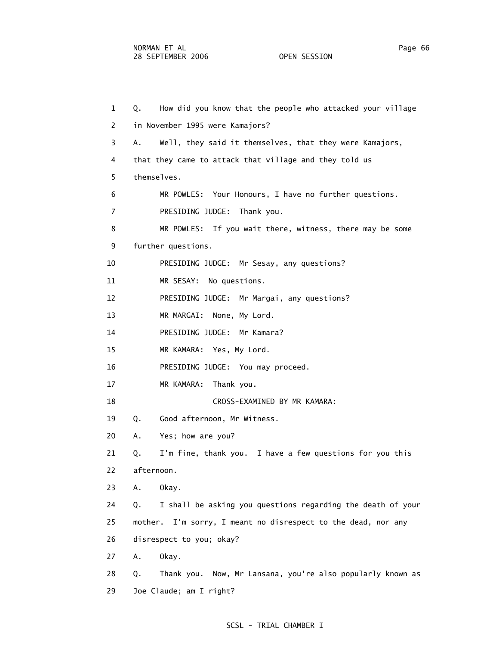1 Q. How did you know that the people who attacked your village 2 in November 1995 were Kamajors? 3 A. Well, they said it themselves, that they were Kamajors, 4 that they came to attack that village and they told us 5 themselves. 6 MR POWLES: Your Honours, I have no further questions. 7 PRESIDING JUDGE: Thank you. 8 MR POWLES: If you wait there, witness, there may be some 9 further questions. 10 PRESIDING JUDGE: Mr Sesay, any questions? 11 MR SESAY: No questions. 12 PRESIDING JUDGE: Mr Margai, any questions? 13 MR MARGAI: None, My Lord. 14 PRESIDING JUDGE: Mr Kamara? 15 MR KAMARA: Yes, My Lord. 16 PRESIDING JUDGE: You may proceed. 17 MR KAMARA: Thank you. 18 CROSS-EXAMINED BY MR KAMARA: 19 Q. Good afternoon, Mr Witness. 20 A. Yes; how are you? 21 Q. I'm fine, thank you. I have a few questions for you this 22 afternoon. 23 A. Okay. 24 Q. I shall be asking you questions regarding the death of your 25 mother. I'm sorry, I meant no disrespect to the dead, nor any 26 disrespect to you; okay? 27 A. Okay. 28 Q. Thank you. Now, Mr Lansana, you're also popularly known as 29 Joe Claude; am I right?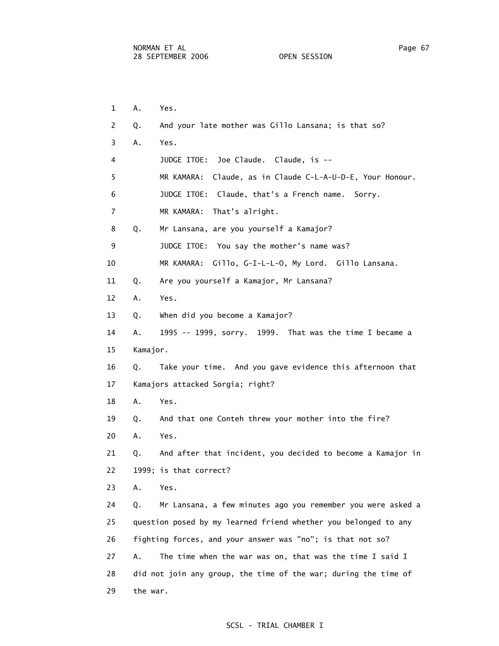1 A. Yes. 2 Q. And your late mother was Gillo Lansana; is that so? 3 A. Yes. 4 JUDGE ITOE: Joe Claude. Claude, is -- 5 MR KAMARA: Claude, as in Claude C-L-A-U-D-E, Your Honour. 6 JUDGE ITOE: Claude, that's a French name. Sorry. 7 MR KAMARA: That's alright. 8 Q. Mr Lansana, are you yourself a Kamajor? 9 JUDGE ITOE: You say the mother's name was? 10 MR KAMARA: Gillo, G-I-L-L-O, My Lord. Gillo Lansana. 11 Q. Are you yourself a Kamajor, Mr Lansana? 12 A. Yes. 13 Q. When did you become a Kamajor? 14 A. 1995 -- 1999, sorry. 1999. That was the time I became a 15 Kamajor. 16 Q. Take your time. And you gave evidence this afternoon that 17 Kamajors attacked Sorgia; right? 18 A. Yes. 19 Q. And that one Conteh threw your mother into the fire? 20 A. Yes. 21 Q. And after that incident, you decided to become a Kamajor in 22 1999; is that correct? 23 A. Yes. 24 Q. Mr Lansana, a few minutes ago you remember you were asked a 25 question posed by my learned friend whether you belonged to any 26 fighting forces, and your answer was "no"; is that not so? 27 A. The time when the war was on, that was the time I said I 28 did not join any group, the time of the war; during the time of 29 the war.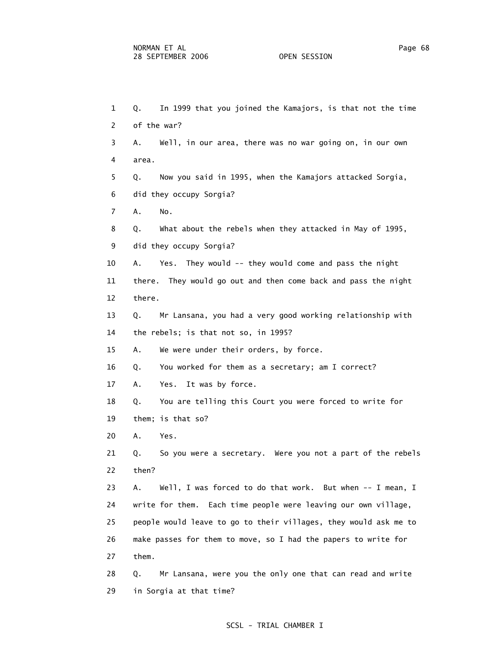29 in Sorgia at that time?

 1 Q. In 1999 that you joined the Kamajors, is that not the time 2 of the war? 3 A. Well, in our area, there was no war going on, in our own 4 area. 5 Q. Now you said in 1995, when the Kamajors attacked Sorgia, 6 did they occupy Sorgia? 7 A. No. 8 Q. What about the rebels when they attacked in May of 1995, 9 did they occupy Sorgia? 10 A. Yes. They would -- they would come and pass the night 11 there. They would go out and then come back and pass the night 12 there. 13 Q. Mr Lansana, you had a very good working relationship with 14 the rebels; is that not so, in 1995? 15 A. We were under their orders, by force. 16 Q. You worked for them as a secretary; am I correct? 17 A. Yes. It was by force. 18 Q. You are telling this Court you were forced to write for 19 them; is that so? 20 A. Yes. 21 Q. So you were a secretary. Were you not a part of the rebels 22 then? 23 A. Well, I was forced to do that work. But when -- I mean, I 24 write for them. Each time people were leaving our own village, 25 people would leave to go to their villages, they would ask me to 26 make passes for them to move, so I had the papers to write for 27 them. 28 Q. Mr Lansana, were you the only one that can read and write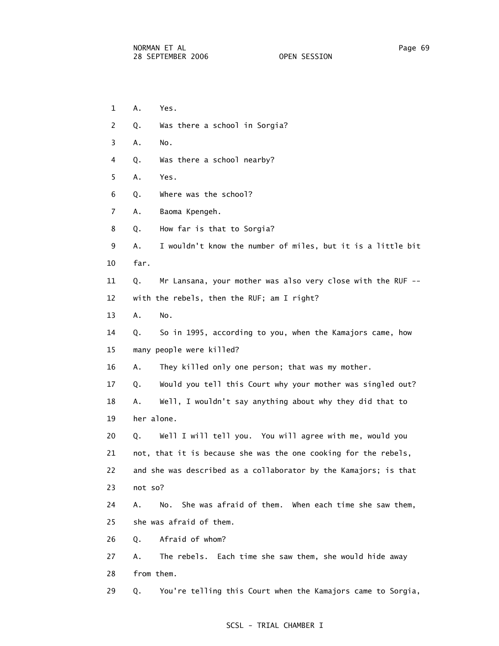- 1 A. Yes.
- 2 Q. Was there a school in Sorgia?
- 3 A. No.
	- 4 Q. Was there a school nearby?
	- 5 A. Yes.
	- 6 Q. Where was the school?
	- 7 A. Baoma Kpengeh.
	- 8 Q. How far is that to Sorgia?
	- 9 A. I wouldn't know the number of miles, but it is a little bit 10 far.
	- 11 Q. Mr Lansana, your mother was also very close with the RUF -- 12 with the rebels, then the RUF; am I right?
	- 13 A. No.
	- 14 Q. So in 1995, according to you, when the Kamajors came, how
	- 15 many people were killed?
	- 16 A. They killed only one person; that was my mother.
	- 17 Q. Would you tell this Court why your mother was singled out?
	- 18 A. Well, I wouldn't say anything about why they did that to 19 her alone.
	- 20 Q. Well I will tell you. You will agree with me, would you 21 not, that it is because she was the one cooking for the rebels, 22 and she was described as a collaborator by the Kamajors; is that 23 not so?
	- 24 A. No. She was afraid of them. When each time she saw them, 25 she was afraid of them.
	- 26 Q. Afraid of whom?
	- 27 A. The rebels. Each time she saw them, she would hide away 28 from them.
	- 29 Q. You're telling this Court when the Kamajors came to Sorgia,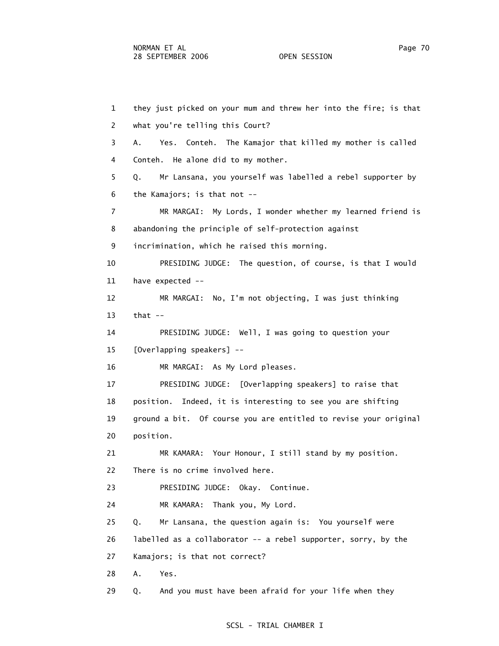1 they just picked on your mum and threw her into the fire; is that 2 what you're telling this Court? 3 A. Yes. Conteh. The Kamajor that killed my mother is called 4 Conteh. He alone did to my mother. 5 Q. Mr Lansana, you yourself was labelled a rebel supporter by 6 the Kamajors; is that not -- 7 MR MARGAI: My Lords, I wonder whether my learned friend is 8 abandoning the principle of self-protection against 9 incrimination, which he raised this morning. 10 PRESIDING JUDGE: The question, of course, is that I would 11 have expected -- 12 MR MARGAI: No, I'm not objecting, I was just thinking 13 that -- 14 PRESIDING JUDGE: Well, I was going to question your 15 [Overlapping speakers] -- 16 MR MARGAI: As My Lord pleases. 17 PRESIDING JUDGE: [Overlapping speakers] to raise that 18 position. Indeed, it is interesting to see you are shifting 19 ground a bit. Of course you are entitled to revise your original 20 position. 21 MR KAMARA: Your Honour, I still stand by my position. 22 There is no crime involved here. 23 PRESIDING JUDGE: Okay. Continue. 24 MR KAMARA: Thank you, My Lord. 25 Q. Mr Lansana, the question again is: You yourself were 26 labelled as a collaborator -- a rebel supporter, sorry, by the 27 Kamajors; is that not correct? 28 A. Yes. 29 Q. And you must have been afraid for your life when they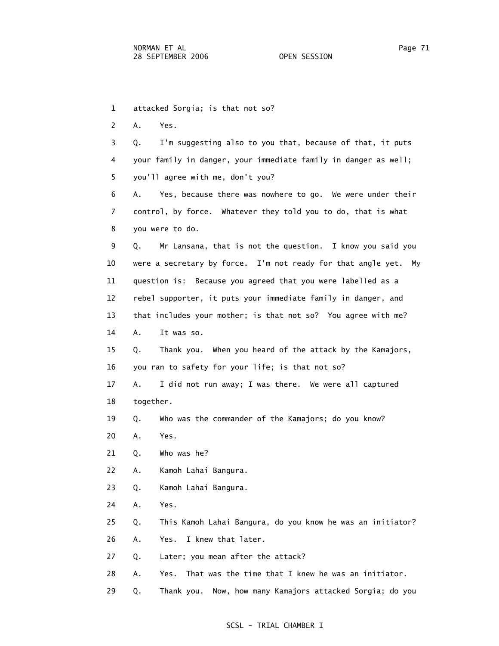1 attacked Sorgia; is that not so?

2 A. Yes.

 3 Q. I'm suggesting also to you that, because of that, it puts 4 your family in danger, your immediate family in danger as well; 5 you'll agree with me, don't you?

 6 A. Yes, because there was nowhere to go. We were under their 7 control, by force. Whatever they told you to do, that is what 8 you were to do.

 9 Q. Mr Lansana, that is not the question. I know you said you 10 were a secretary by force. I'm not ready for that angle yet. My 11 question is: Because you agreed that you were labelled as a 12 rebel supporter, it puts your immediate family in danger, and 13 that includes your mother; is that not so? You agree with me?

14 A. It was so.

 15 Q. Thank you. When you heard of the attack by the Kamajors, 16 you ran to safety for your life; is that not so?

 17 A. I did not run away; I was there. We were all captured 18 together.

19 Q. Who was the commander of the Kamajors; do you know?

- 20 A. Yes.
- 21 Q. Who was he?
- 22 A. Kamoh Lahai Bangura.

23 Q. Kamoh Lahai Bangura.

24 A. Yes.

25 Q. This Kamoh Lahai Bangura, do you know he was an initiator?

26 A. Yes. I knew that later.

27 Q. Later; you mean after the attack?

28 A. Yes. That was the time that I knew he was an initiator.

29 Q. Thank you. Now, how many Kamajors attacked Sorgia; do you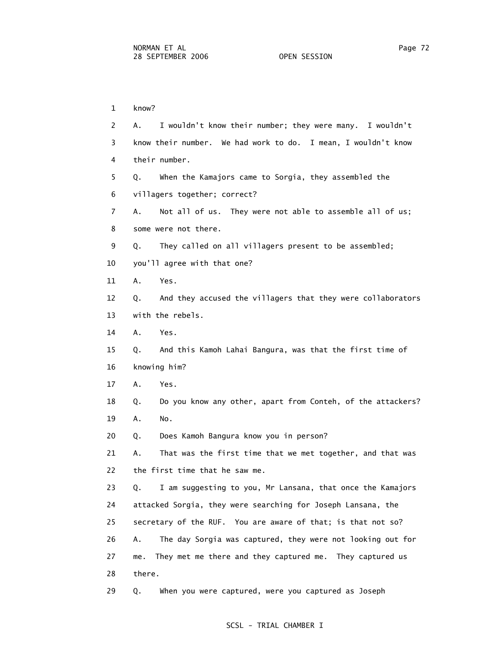1 know? 2 A. I wouldn't know their number; they were many. I wouldn't 3 know their number. We had work to do. I mean, I wouldn't know 4 their number. 5 Q. When the Kamajors came to Sorgia, they assembled the 6 villagers together; correct? 7 A. Not all of us. They were not able to assemble all of us; 8 some were not there. 9 Q. They called on all villagers present to be assembled; 10 you'll agree with that one? 11 A. Yes. 12 Q. And they accused the villagers that they were collaborators 13 with the rebels. 14 A. Yes. 15 Q. And this Kamoh Lahai Bangura, was that the first time of 16 knowing him? 17 A. Yes. 18 Q. Do you know any other, apart from Conteh, of the attackers? 19 A. No. 20 Q. Does Kamoh Bangura know you in person? 21 A. That was the first time that we met together, and that was 22 the first time that he saw me. 23 Q. I am suggesting to you, Mr Lansana, that once the Kamajors 24 attacked Sorgia, they were searching for Joseph Lansana, the 25 secretary of the RUF. You are aware of that; is that not so? 26 A. The day Sorgia was captured, they were not looking out for 27 me. They met me there and they captured me. They captured us 28 there. 29 Q. When you were captured, were you captured as Joseph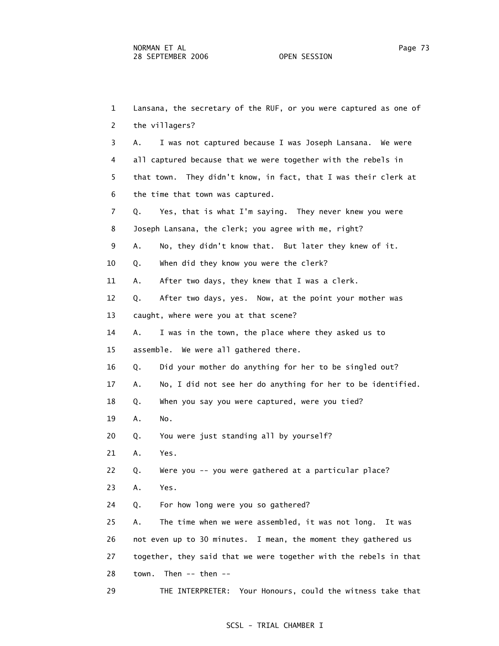1 Lansana, the secretary of the RUF, or you were captured as one of 2 the villagers? 3 A. I was not captured because I was Joseph Lansana. We were 4 all captured because that we were together with the rebels in 5 that town. They didn't know, in fact, that I was their clerk at 6 the time that town was captured. 7 Q. Yes, that is what I'm saying. They never knew you were 8 Joseph Lansana, the clerk; you agree with me, right? 9 A. No, they didn't know that. But later they knew of it. 10 Q. When did they know you were the clerk? 11 A. After two days, they knew that I was a clerk. 12 Q. After two days, yes. Now, at the point your mother was 13 caught, where were you at that scene? 14 A. I was in the town, the place where they asked us to 15 assemble. We were all gathered there. 16 Q. Did your mother do anything for her to be singled out? 17 A. No, I did not see her do anything for her to be identified. 18 Q. When you say you were captured, were you tied? 19 A. No. 20 Q. You were just standing all by yourself? 21 A. Yes. 22 Q. Were you -- you were gathered at a particular place? 23 A. Yes. 24 Q. For how long were you so gathered? 25 A. The time when we were assembled, it was not long. It was 26 not even up to 30 minutes. I mean, the moment they gathered us 27 together, they said that we were together with the rebels in that 28 town. Then -- then -- 29 THE INTERPRETER: Your Honours, could the witness take that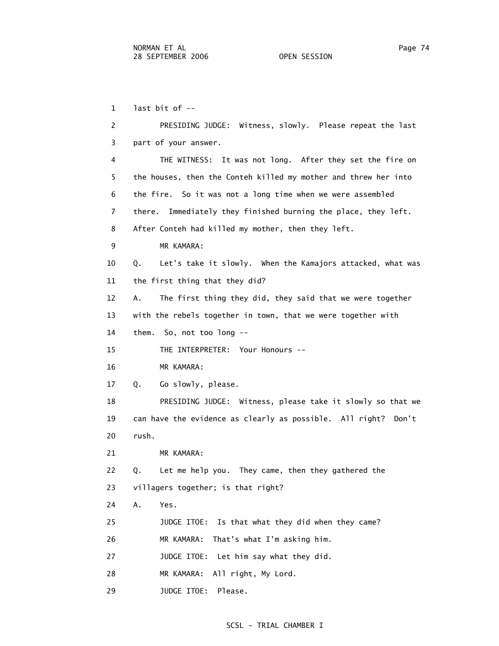1 last bit of --

 2 PRESIDING JUDGE: Witness, slowly. Please repeat the last 3 part of your answer. 4 THE WITNESS: It was not long. After they set the fire on 5 the houses, then the Conteh killed my mother and threw her into 6 the fire. So it was not a long time when we were assembled 7 there. Immediately they finished burning the place, they left. 8 After Conteh had killed my mother, then they left. 9 MR KAMARA: 10 Q. Let's take it slowly. When the Kamajors attacked, what was 11 the first thing that they did? 12 A. The first thing they did, they said that we were together 13 with the rebels together in town, that we were together with 14 them. So, not too long -- 15 THE INTERPRETER: Your Honours -- 16 MR KAMARA: 17 Q. Go slowly, please. 18 PRESIDING JUDGE: Witness, please take it slowly so that we 19 can have the evidence as clearly as possible. All right? Don't 20 rush. 21 MR KAMARA: 22 Q. Let me help you. They came, then they gathered the 23 villagers together; is that right? 24 A. Yes. 25 JUDGE ITOE: Is that what they did when they came? 26 MR KAMARA: That's what I'm asking him. 27 JUDGE ITOE: Let him say what they did. 28 MR KAMARA: All right, My Lord. 29 JUDGE ITOE: Please.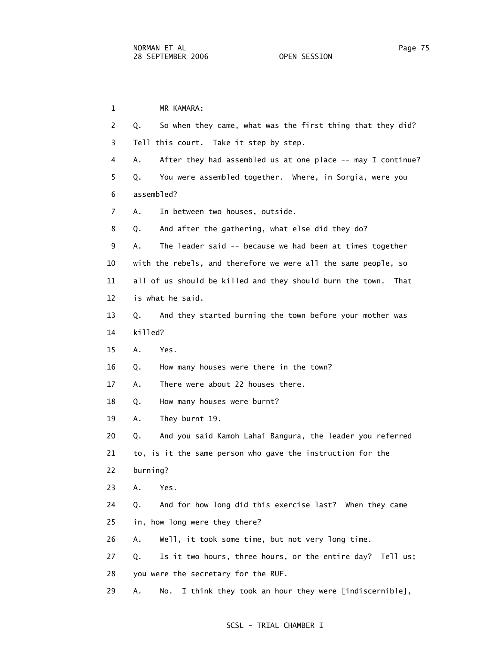1 MR KAMARA: 2 Q. So when they came, what was the first thing that they did? 3 Tell this court. Take it step by step. 4 A. After they had assembled us at one place -- may I continue? 5 Q. You were assembled together. Where, in Sorgia, were you 6 assembled? 7 A. In between two houses, outside. 8 Q. And after the gathering, what else did they do? 9 A. The leader said -- because we had been at times together 10 with the rebels, and therefore we were all the same people, so 11 all of us should be killed and they should burn the town. That 12 is what he said. 13 Q. And they started burning the town before your mother was 14 killed? 15 A. Yes. 16 Q. How many houses were there in the town? 17 A. There were about 22 houses there. 18 Q. How many houses were burnt? 19 A. They burnt 19. 20 Q. And you said Kamoh Lahai Bangura, the leader you referred 21 to, is it the same person who gave the instruction for the 22 burning? 23 A. Yes. 24 Q. And for how long did this exercise last? When they came 25 in, how long were they there? 26 A. Well, it took some time, but not very long time. 27 Q. Is it two hours, three hours, or the entire day? Tell us; 28 you were the secretary for the RUF. 29 A. No. I think they took an hour they were [indiscernible],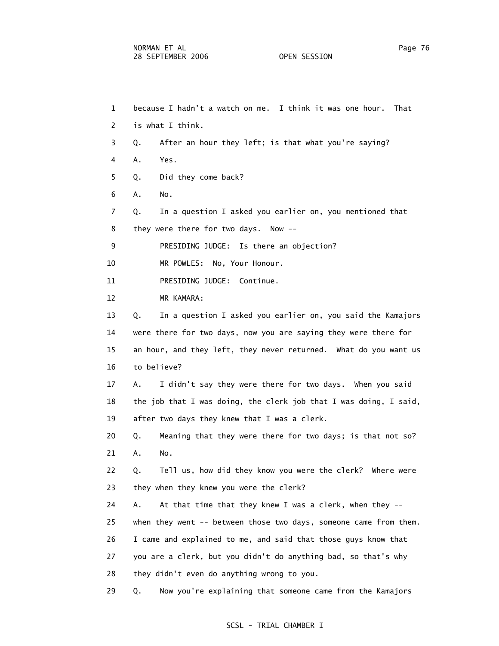1 because I hadn't a watch on me. I think it was one hour. That 2 is what I think. 3 Q. After an hour they left; is that what you're saying? 4 A. Yes. 5 Q. Did they come back? 6 A. No. 7 Q. In a question I asked you earlier on, you mentioned that 8 they were there for two days. Now -- 9 PRESIDING JUDGE: Is there an objection? 10 MR POWLES: No, Your Honour. 11 PRESIDING JUDGE: Continue. 12 MR KAMARA: 13 Q. In a question I asked you earlier on, you said the Kamajors 14 were there for two days, now you are saying they were there for 15 an hour, and they left, they never returned. What do you want us 16 to believe? 17 A. I didn't say they were there for two days. When you said 18 the job that I was doing, the clerk job that I was doing, I said, 19 after two days they knew that I was a clerk. 20 Q. Meaning that they were there for two days; is that not so? 21 A. No. 22 Q. Tell us, how did they know you were the clerk? Where were 23 they when they knew you were the clerk? 24 A. At that time that they knew I was a clerk, when they -- 25 when they went -- between those two days, someone came from them. 26 I came and explained to me, and said that those guys know that 27 you are a clerk, but you didn't do anything bad, so that's why 28 they didn't even do anything wrong to you. 29 Q. Now you're explaining that someone came from the Kamajors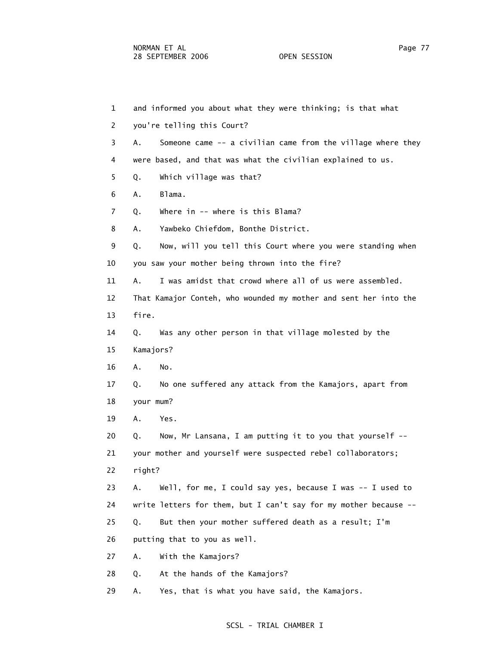| $\mathbf{1}$   | and informed you about what they were thinking; is that what       |
|----------------|--------------------------------------------------------------------|
| $\overline{2}$ | you're telling this Court?                                         |
| 3              | Someone came -- a civilian came from the village where they<br>Α.  |
| 4              | were based, and that was what the civilian explained to us.        |
| 5              | Which village was that?<br>Q.                                      |
| 6              | Blama.<br>Α.                                                       |
| $\overline{7}$ | Where in -- where is this Blama?<br>Q.                             |
| 8              | Yawbeko Chiefdom, Bonthe District.<br>Α.                           |
| 9              | Now, will you tell this Court where you were standing when<br>Q.   |
| 10             | you saw your mother being thrown into the fire?                    |
| 11             | I was amidst that crowd where all of us were assembled.<br>Α.      |
| 12             | That Kamajor Conteh, who wounded my mother and sent her into the   |
| 13             | fire.                                                              |
| 14             | Was any other person in that village molested by the<br>Q.         |
| 15             | Kamajors?                                                          |
| 16             | Α.<br>No.                                                          |
| 17             | No one suffered any attack from the Kamajors, apart from<br>Q.     |
| 18             | your mum?                                                          |
| 19             | Yes.<br>Α.                                                         |
| 20             | Now, Mr Lansana, I am putting it to you that yourself --<br>Q.     |
| 21             | your mother and yourself were suspected rebel collaborators;       |
| 22             | right?                                                             |
| 23             | Well, for me, I could say yes, because I was $-$ - I used to<br>Α. |
| 24             | write letters for them, but I can't say for my mother because --   |
| 25             | But then your mother suffered death as a result; I'm<br>Q.         |
| 26             | putting that to you as well.                                       |
| 27             | With the Kamajors?<br>Α.                                           |
| 28             | At the hands of the Kamajors?<br>Q.                                |
| 29             | Yes, that is what you have said, the Kamajors.<br>Α.               |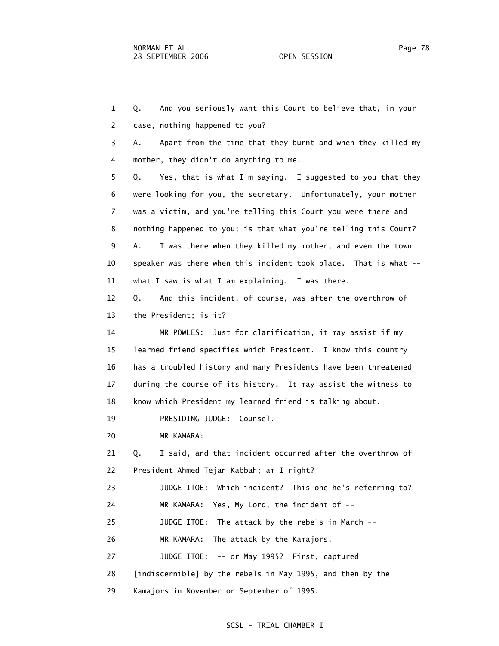1 Q. And you seriously want this Court to believe that, in your 2 case, nothing happened to you? 3 A. Apart from the time that they burnt and when they killed my 4 mother, they didn't do anything to me. 5 Q. Yes, that is what I'm saying. I suggested to you that they 6 were looking for you, the secretary. Unfortunately, your mother 7 was a victim, and you're telling this Court you were there and 8 nothing happened to you; is that what you're telling this Court? 9 A. I was there when they killed my mother, and even the town 10 speaker was there when this incident took place. That is what -- 11 what I saw is what I am explaining. I was there. 12 Q. And this incident, of course, was after the overthrow of 13 the President; is it? 14 MR POWLES: Just for clarification, it may assist if my 15 learned friend specifies which President. I know this country 16 has a troubled history and many Presidents have been threatened 17 during the course of its history. It may assist the witness to 18 know which President my learned friend is talking about. 19 PRESIDING JUDGE: Counsel. 20 MR KAMARA: 21 Q. I said, and that incident occurred after the overthrow of 22 President Ahmed Tejan Kabbah; am I right? 23 JUDGE ITOE: Which incident? This one he's referring to? 24 MR KAMARA: Yes, My Lord, the incident of -- 25 JUDGE ITOE: The attack by the rebels in March -- 26 MR KAMARA: The attack by the Kamajors. 27 JUDGE ITOE: -- or May 1995? First, captured 28 [indiscernible] by the rebels in May 1995, and then by the 29 Kamajors in November or September of 1995.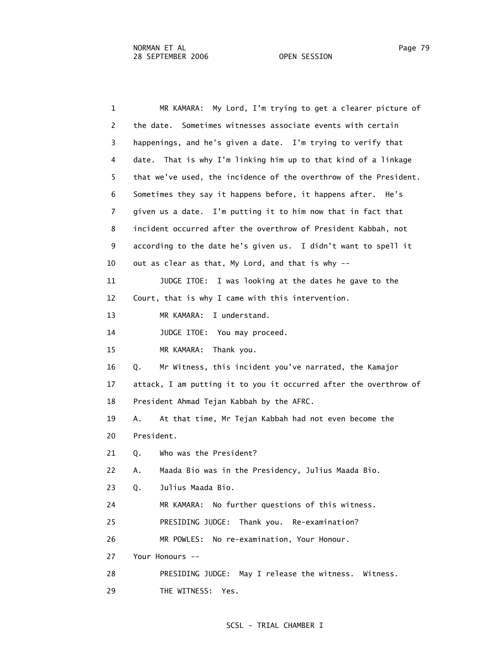1 MR KAMARA: My Lord, I'm trying to get a clearer picture of 2 the date. Sometimes witnesses associate events with certain 3 happenings, and he's given a date. I'm trying to verify that 4 date. That is why I'm linking him up to that kind of a linkage 5 that we've used, the incidence of the overthrow of the President. 6 Sometimes they say it happens before, it happens after. He's 7 given us a date. I'm putting it to him now that in fact that 8 incident occurred after the overthrow of President Kabbah, not 9 according to the date he's given us. I didn't want to spell it 10 out as clear as that, My Lord, and that is why -- 11 JUDGE ITOE: I was looking at the dates he gave to the 12 Court, that is why I came with this intervention. 13 MR KAMARA: I understand. 14 JUDGE ITOE: You may proceed. 15 MR KAMARA: Thank you. 16 Q. Mr Witness, this incident you've narrated, the Kamajor 17 attack, I am putting it to you it occurred after the overthrow of 18 President Ahmad Tejan Kabbah by the AFRC. 19 A. At that time, Mr Tejan Kabbah had not even become the 20 President. 21 Q. Who was the President? 22 A. Maada Bio was in the Presidency, Julius Maada Bio. 23 Q. Julius Maada Bio. 24 MR KAMARA: No further questions of this witness. 25 PRESIDING JUDGE: Thank you. Re-examination? 26 MR POWLES: No re-examination, Your Honour. 27 Your Honours -- 28 PRESIDING JUDGE: May I release the witness. Witness. 29 THE WITNESS: Yes.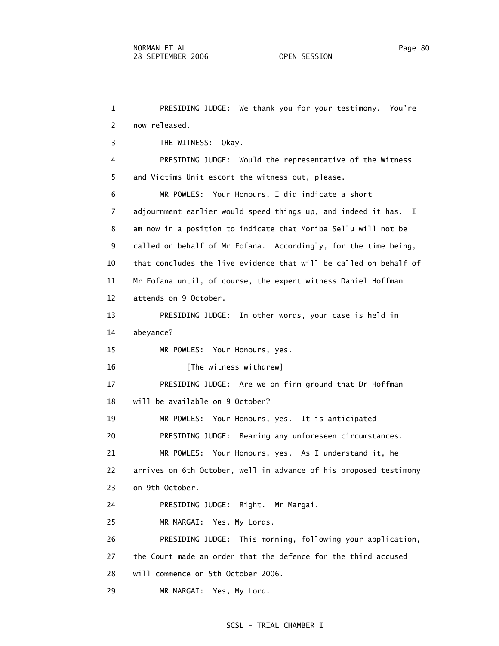1 PRESIDING JUDGE: We thank you for your testimony. You're 2 now released. 3 THE WITNESS: Okay. 4 PRESIDING JUDGE: Would the representative of the Witness 5 and Victims Unit escort the witness out, please. 6 MR POWLES: Your Honours, I did indicate a short 7 adjournment earlier would speed things up, and indeed it has. I 8 am now in a position to indicate that Moriba Sellu will not be 9 called on behalf of Mr Fofana. Accordingly, for the time being, 10 that concludes the live evidence that will be called on behalf of 11 Mr Fofana until, of course, the expert witness Daniel Hoffman 12 attends on 9 October. 13 PRESIDING JUDGE: In other words, your case is held in 14 abeyance? 15 MR POWLES: Your Honours, yes. 16 [The witness withdrew] 17 PRESIDING JUDGE: Are we on firm ground that Dr Hoffman 18 will be available on 9 October? 19 MR POWLES: Your Honours, yes. It is anticipated -- 20 PRESIDING JUDGE: Bearing any unforeseen circumstances. 21 MR POWLES: Your Honours, yes. As I understand it, he 22 arrives on 6th October, well in advance of his proposed testimony 23 on 9th October. 24 PRESIDING JUDGE: Right. Mr Margai. 25 MR MARGAI: Yes, My Lords. 26 PRESIDING JUDGE: This morning, following your application, 27 the Court made an order that the defence for the third accused 28 will commence on 5th October 2006. 29 MR MARGAI: Yes, My Lord.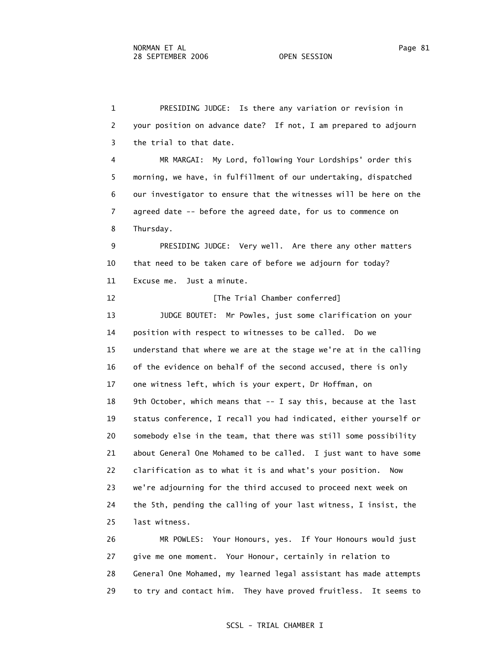1 PRESIDING JUDGE: Is there any variation or revision in 2 your position on advance date? If not, I am prepared to adjourn 3 the trial to that date. 4 MR MARGAI: My Lord, following Your Lordships' order this 5 morning, we have, in fulfillment of our undertaking, dispatched 6 our investigator to ensure that the witnesses will be here on the 7 agreed date -- before the agreed date, for us to commence on 8 Thursday. 9 PRESIDING JUDGE: Very well. Are there any other matters 10 that need to be taken care of before we adjourn for today? 11 Excuse me. Just a minute. 12 **Interpreteral** [The Trial Chamber conferred] 13 JUDGE BOUTET: Mr Powles, just some clarification on your 14 position with respect to witnesses to be called. Do we 15 understand that where we are at the stage we're at in the calling 16 of the evidence on behalf of the second accused, there is only 17 one witness left, which is your expert, Dr Hoffman, on 18 9th October, which means that -- I say this, because at the last 19 status conference, I recall you had indicated, either yourself or 20 somebody else in the team, that there was still some possibility 21 about General One Mohamed to be called. I just want to have some 22 clarification as to what it is and what's your position. Now 23 we're adjourning for the third accused to proceed next week on 24 the 5th, pending the calling of your last witness, I insist, the 25 last witness. 26 MR POWLES: Your Honours, yes. If Your Honours would just

 27 give me one moment. Your Honour, certainly in relation to 28 General One Mohamed, my learned legal assistant has made attempts 29 to try and contact him. They have proved fruitless. It seems to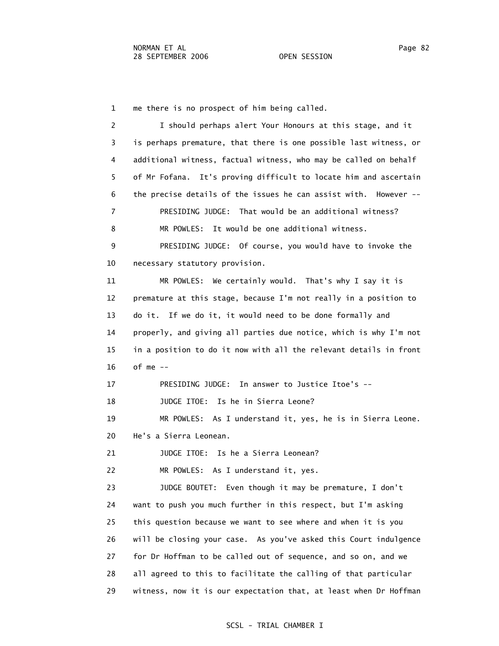1 me there is no prospect of him being called.

 2 I should perhaps alert Your Honours at this stage, and it 3 is perhaps premature, that there is one possible last witness, or 4 additional witness, factual witness, who may be called on behalf 5 of Mr Fofana. It's proving difficult to locate him and ascertain 6 the precise details of the issues he can assist with. However -- 7 PRESIDING JUDGE: That would be an additional witness? 8 MR POWLES: It would be one additional witness. 9 PRESIDING JUDGE: Of course, you would have to invoke the 10 necessary statutory provision. 11 MR POWLES: We certainly would. That's why I say it is 12 premature at this stage, because I'm not really in a position to 13 do it. If we do it, it would need to be done formally and 14 properly, and giving all parties due notice, which is why I'm not 15 in a position to do it now with all the relevant details in front 16 of me -- 17 PRESIDING JUDGE: In answer to Justice Itoe's -- 18 JUDGE ITOE: Is he in Sierra Leone? 19 MR POWLES: As I understand it, yes, he is in Sierra Leone. 20 He's a Sierra Leonean. 21 JUDGE ITOE: Is he a Sierra Leonean? 22 MR POWLES: As I understand it, yes. 23 JUDGE BOUTET: Even though it may be premature, I don't 24 want to push you much further in this respect, but I'm asking 25 this question because we want to see where and when it is you 26 will be closing your case. As you've asked this Court indulgence 27 for Dr Hoffman to be called out of sequence, and so on, and we 28 all agreed to this to facilitate the calling of that particular 29 witness, now it is our expectation that, at least when Dr Hoffman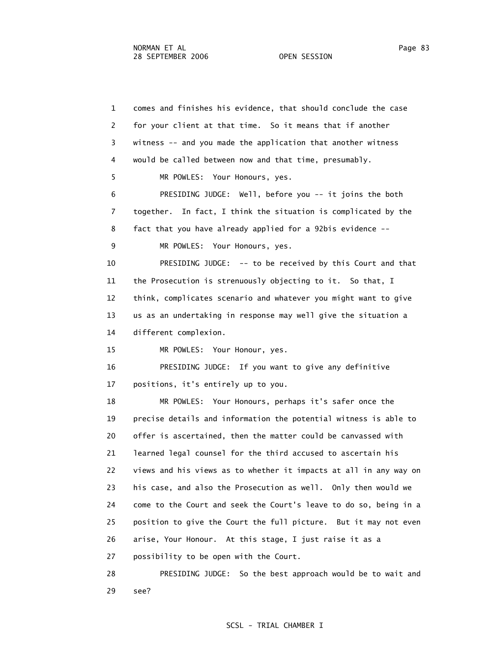1 comes and finishes his evidence, that should conclude the case 2 for your client at that time. So it means that if another 3 witness -- and you made the application that another witness 4 would be called between now and that time, presumably. 5 MR POWLES: Your Honours, yes. 6 PRESIDING JUDGE: Well, before you -- it joins the both 7 together. In fact, I think the situation is complicated by the 8 fact that you have already applied for a 92bis evidence -- 9 MR POWLES: Your Honours, yes. 10 PRESIDING JUDGE: -- to be received by this Court and that 11 the Prosecution is strenuously objecting to it. So that, I 12 think, complicates scenario and whatever you might want to give 13 us as an undertaking in response may well give the situation a 14 different complexion. 15 MR POWLES: Your Honour, yes. 16 PRESIDING JUDGE: If you want to give any definitive 17 positions, it's entirely up to you. 18 MR POWLES: Your Honours, perhaps it's safer once the 19 precise details and information the potential witness is able to 20 offer is ascertained, then the matter could be canvassed with 21 learned legal counsel for the third accused to ascertain his 22 views and his views as to whether it impacts at all in any way on 23 his case, and also the Prosecution as well. Only then would we 24 come to the Court and seek the Court's leave to do so, being in a 25 position to give the Court the full picture. But it may not even 26 arise, Your Honour. At this stage, I just raise it as a 27 possibility to be open with the Court. 28 PRESIDING JUDGE: So the best approach would be to wait and 29 see?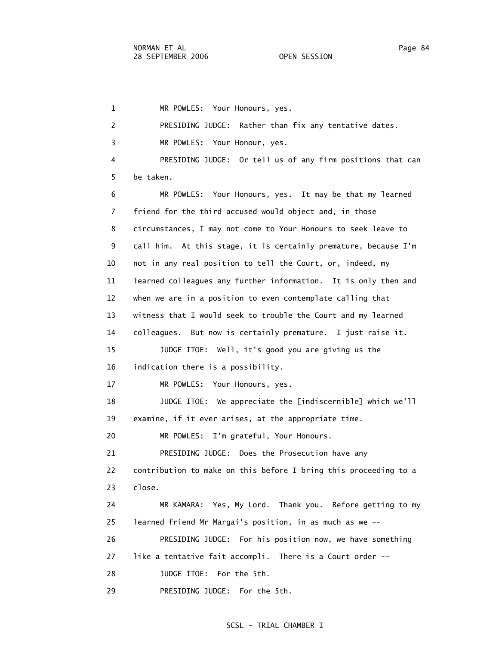1 MR POWLES: Your Honours, yes. 2 PRESIDING JUDGE: Rather than fix any tentative dates. 3 MR POWLES: Your Honour, yes. 4 PRESIDING JUDGE: Or tell us of any firm positions that can 5 be taken. 6 MR POWLES: Your Honours, yes. It may be that my learned 7 friend for the third accused would object and, in those 8 circumstances, I may not come to Your Honours to seek leave to 9 call him. At this stage, it is certainly premature, because I'm 10 not in any real position to tell the Court, or, indeed, my 11 learned colleagues any further information. It is only then and 12 when we are in a position to even contemplate calling that 13 witness that I would seek to trouble the Court and my learned 14 colleagues. But now is certainly premature. I just raise it. 15 JUDGE ITOE: Well, it's good you are giving us the 16 indication there is a possibility. 17 MR POWLES: Your Honours, yes. 18 JUDGE ITOE: We appreciate the [indiscernible] which we'll 19 examine, if it ever arises, at the appropriate time. 20 MR POWLES: I'm grateful, Your Honours. 21 PRESIDING JUDGE: Does the Prosecution have any 22 contribution to make on this before I bring this proceeding to a 23 close. 24 MR KAMARA: Yes, My Lord. Thank you. Before getting to my 25 learned friend Mr Margai's position, in as much as we -- 26 PRESIDING JUDGE: For his position now, we have something 27 like a tentative fait accompli. There is a Court order -- 28 JUDGE ITOE: For the 5th. 29 PRESIDING JUDGE: For the 5th.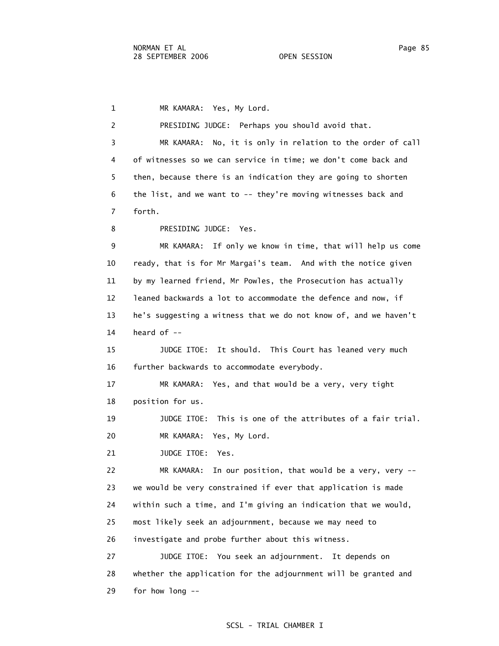1 MR KAMARA: Yes, My Lord. 2 PRESIDING JUDGE: Perhaps you should avoid that. 3 MR KAMARA: No, it is only in relation to the order of call 4 of witnesses so we can service in time; we don't come back and 5 then, because there is an indication they are going to shorten 6 the list, and we want to -- they're moving witnesses back and 7 forth. 8 PRESIDING JUDGE: Yes. 9 MR KAMARA: If only we know in time, that will help us come 10 ready, that is for Mr Margai's team. And with the notice given 11 by my learned friend, Mr Powles, the Prosecution has actually 12 leaned backwards a lot to accommodate the defence and now, if 13 he's suggesting a witness that we do not know of, and we haven't 14 heard of -- 15 JUDGE ITOE: It should. This Court has leaned very much 16 further backwards to accommodate everybody. 17 MR KAMARA: Yes, and that would be a very, very tight 18 position for us. 19 JUDGE ITOE: This is one of the attributes of a fair trial. 20 MR KAMARA: Yes, My Lord. 21 JUDGE ITOE: Yes. 22 MR KAMARA: In our position, that would be a very, very -- 23 we would be very constrained if ever that application is made 24 within such a time, and I'm giving an indication that we would, 25 most likely seek an adjournment, because we may need to 26 investigate and probe further about this witness. 27 JUDGE ITOE: You seek an adjournment. It depends on 28 whether the application for the adjournment will be granted and 29 for how long --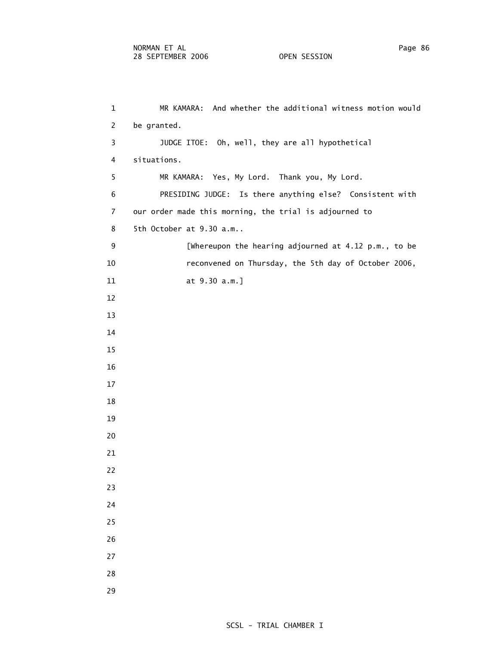1 MR KAMARA: And whether the additional witness motion would 2 be granted. 3 JUDGE ITOE: Oh, well, they are all hypothetical 4 situations. 5 MR KAMARA: Yes, My Lord. Thank you, My Lord. 6 PRESIDING JUDGE: Is there anything else? Consistent with 7 our order made this morning, the trial is adjourned to 8 5th October at 9.30 a.m.. 9 [Whereupon the hearing adjourned at 4.12 p.m., to be 10 reconvened on Thursday, the 5th day of October 2006, 11 at 9.30 a.m.] 12 13 14 15 16 17 18 19 20 21 22 23 24 25 26 27 28 29